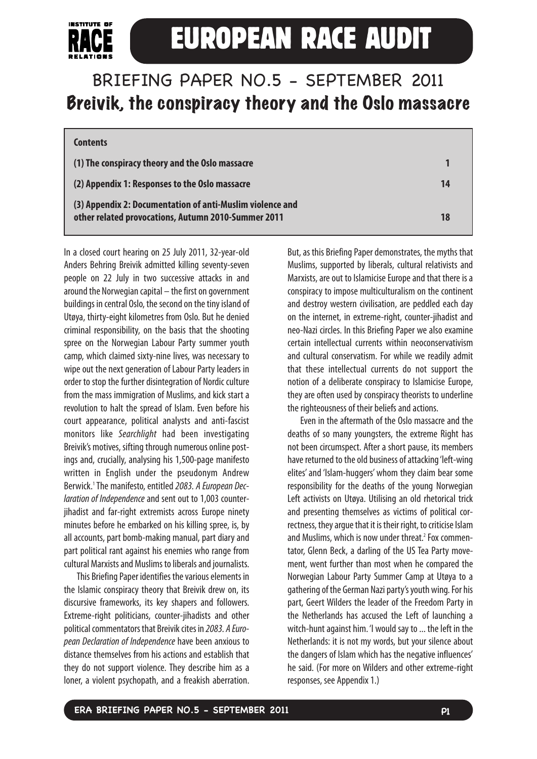

# **EUROPEAN RACE AUDIT**

# BRIEFING PAPER NO.5 - SEPTEMBER 2011 Breivik, the conspiracy theory and the Oslo massacre

| <b>Contents</b>                                                                                                  |    |  |
|------------------------------------------------------------------------------------------------------------------|----|--|
| (1) The conspiracy theory and the Oslo massacre                                                                  |    |  |
| (2) Appendix 1: Responses to the Oslo massacre                                                                   | 14 |  |
| (3) Appendix 2: Documentation of anti-Muslim violence and<br>other related provocations, Autumn 2010-Summer 2011 | 18 |  |

In a closed court hearing on 25 July 2011, 32-year-old Anders Behring Breivik admitted killing seventy-seven people on 22 July in two successive attacks in and around the Norwegian capital – the first on government buildings in central Oslo, the second on the tiny island of Utøya, thirty-eight kilometres from Oslo. But he denied criminal responsibility, on the basis that the shooting spree on the Norwegian Labour Party summer youth camp, which claimed sixty-nine lives, was necessary to wipe out the next generation of Labour Party leaders in order tostop the further disintegration of Nordic culture from the mass immigration of Muslims, and kick start a revolution to halt the spread of Islam. Even before his court appearance, political analysts and anti-fascist monitors like Searchlight had been investigating Breivik's motives, sifting through numerous online postings and, crucially, analysing his 1,500-page manifesto written in English under the pseudonym Andrew Berwick.<sup>1</sup> The manifesto, entitled 2083. A European Declaration of Independence and sent out to 1,003 counterjihadist and far-right extremists across Europe ninety minutes before he embarked on his killing spree, is, by all accounts, part bomb-making manual, part diary and part political rant against his enemies who range from cultural Marxists and Muslims to liberals and journalists.

This Briefing Paper identifies the various elements in the Islamic conspiracy theory that Breivik drew on, its discursive frameworks, its key shapers and followers. Extreme-right politicians, counter-jihadists and other political commentators that Breivik cites in 2083. A European Declaration of Independence have been anxious to distance themselves from his actions and establish that they do not support violence. They describe him as a loner, a violent psychopath, and a freakish aberration.

But, as this Briefing Paper demonstrates, the myths that Muslims, supported by liberals, cultural relativists and Marxists, are out to Islamicise Europe and that there is a conspiracy to impose multiculturalism on the continent and destroy western civilisation, are peddled each day on the internet, in extreme-right, counter-jihadist and neo-Nazi circles. In this Briefing Paper we also examine certain intellectual currents within neoconservativism and cultural conservatism. For while we readily admit that these intellectual currents do not support the notion of a deliberate conspiracy to Islamicise Europe, they are often used by conspiracy theorists to underline the righteousness of their beliefs and actions.

Even in the aftermath of the Oslo massacre and the deaths of so many youngsters, the extreme Right has not been circumspect. After a short pause, its members have returned to the old business of attacking 'left-wing elites'and 'Islam-huggers' whom they claim bear some responsibility for the deaths of the young Norwegian Left activists on Utøya. Utilising an old rhetorical trick and presenting themselves as victims of political correctness, they argue that it is their right, to criticise Islam and Muslims, which is now under threat.<sup>2</sup> Fox commentator, Glenn Beck, a darling of the US Tea Party movement, went further than most when he compared the Norwegian Labour Party Summer Camp at Utøya to a gathering of the German Nazi party's youth wing. For his part, Geert Wilders the leader of the Freedom Party in the Netherlands has accused the Left of launching a witch-hunt against him. 'I would say to ... the left in the Netherlands: it is not my words, but your silence about the dangers of Islam which has the negative influences' he said. (For more on Wilders and other extreme-right responses, see Appendix 1.)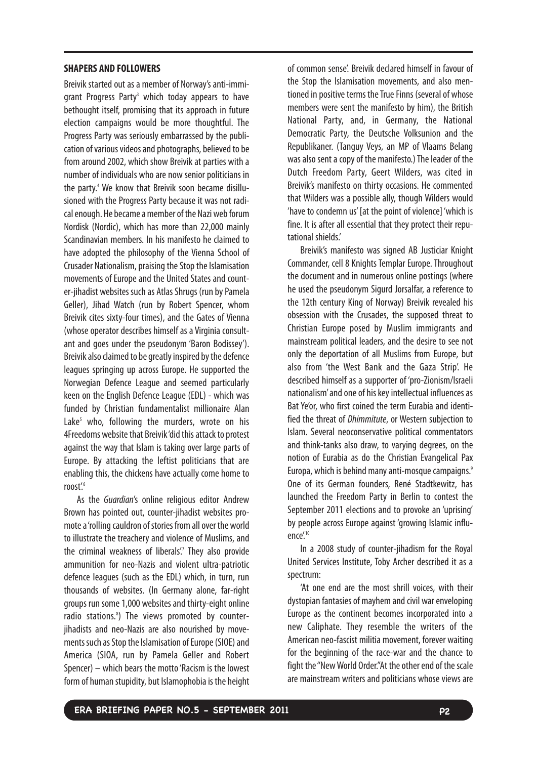#### **SHAPERS AND FOLLOWERS**

Breivik started out as a member of Norway's anti-immigrant Progress Party<sup>3</sup> which today appears to have bethought itself, promising that its approach in future election campaigns would be more thoughtful. The Progress Party was seriously embarrassed by the publication of various videos and photographs, believed to be from around 2002, which show Breivik at parties with a number of individuals who are now senior politicians in the party.<sup>4</sup> We know that Breivik soon became disillusioned with the Progress Party because it was not radical enough. He became a member of the Nazi web forum Nordisk (Nordic), which has more than 22,000 mainly Scandinavian members. In his manifesto he claimed to have adopted the philosophy of the Vienna School of Crusader Nationalism, praising the Stop the Islamisation movements of Europe and the United States and counter-jihadist websites such as Atlas Shrugs (run by Pamela Geller), Jihad Watch (run by Robert Spencer, whom Breivik cites sixty-four times), and the Gates of Vienna (whose operator describes himself as a Virginia consultant and goes under the pseudonym 'Baron Bodissey'). Breivik also claimed tobe greatly inspired by the defence leagues springing up across Europe. He supported the Norwegian Defence League and seemed particularly keen on the English Defence League (EDL) - which was funded by Christian fundamentalist millionaire Alan Lake<sup>5</sup> who, following the murders, wrote on his 4Freedoms website that Breivik 'did this attack to protest against the way that Islam is taking over large parts of Europe. By attacking the leftist politicians that are enabling this, the chickens have actually come home to roost'.<sup>6</sup>

As the Guardian's online religious editor Andrew Brown has pointed out, counter-jihadist websites promote a 'rolling cauldron of stories from all over the world to illustrate the treachery and violence of Muslims, and the criminal weakness of liberals.<sup>7</sup> They also provide ammunition for neo-Nazis and violent ultra-patriotic defence leagues (such as the EDL) which, in turn, run thousands of websites. (In Germany alone, far-right groups run some 1,000 websites and thirty-eight online radio stations.<sup>8</sup>) The views promoted by counterjihadists and neo-Nazis are also nourished by movements such as Stop the Islamisation of Europe (SIOE) and America (SIOA, run by Pamela Geller and Robert Spencer) – which bears the motto 'Racism is the lowest form of human stupidity, but Islamophobia is the height

of common sense'. Breivik declared himself in favour of the Stop the Islamisation movements, and also mentioned in positive terms the True Finns (several of whose members were sent the manifesto by him), the British National Party, and, in Germany, the National Democratic Party, the Deutsche Volksunion and the Republikaner. (Tanguy Veys, an MP of Vlaams Belang was also sent a copy of the manifesto.) The leader of the Dutch Freedom Party, Geert Wilders, was cited in Breivik's manifesto on thirty occasions. He commented that Wilders was a possible ally, though Wilders would 'have to condemn us' [at the point of violence] 'which is fine. It is after all essential that they protect their reputational shields.'

Breivik's manifesto was signed AB Justiciar Knight Commander, cell 8 Knights Templar Europe. Throughout the document and in numerous online postings (where he used the pseudonym Sigurd Jorsalfar, a reference to the 12th century King of Norway) Breivik revealed his obsession with the Crusades, the supposed threat to Christian Europe posed by Muslim immigrants and mainstream political leaders, and the desire to see not only the deportation of all Muslims from Europe, but also from 'the West Bank and the Gaza Strip'. He described himself as a supporter of 'pro-Zionism/Israeli nationalism'and one of his key intellectual influences as Bat Ye'or, who first coined the term Eurabia and identified the threat of Dhimmitute, or Western subjection to Islam. Several neoconservative political commentators and think-tanks also draw, to varying degrees, on the notion of Eurabia as do the Christian Evangelical Pax Europa, which is behind many anti-mosque campaigns.<sup>9</sup> One of its German founders, René Stadtkewitz, has launched the Freedom Party in Berlin to contest the September 2011 elections and to provoke an 'uprising' by people across Europe against 'growing Islamic influence'.<sup>10</sup>

In a 2008 study of counter-jihadism for the Royal United Services Institute, Toby Archer described it as a spectrum:

'At one end are the most shrill voices, with their dystopian fantasies of mayhem and civil war enveloping Europe as the continent becomes incorporated into a new Caliphate. They resemble the writers of the American neo-fascist militia movement, forever waiting for the beginning of the race-war and the chance to fight the "New World Order."At the other end of the scale are mainstream writers and politicians whose views are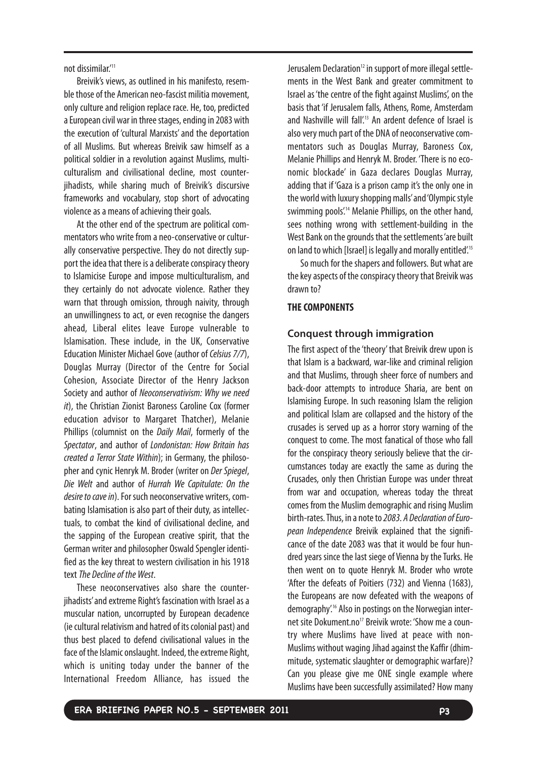not dissimilar.'11

Breivik's views, as outlined in his manifesto, resemble those of the American neo-fascist militia movement, only culture and religion replace race. He, too, predicted aEuropean civil war in three stages, ending in 2083 with the execution of 'cultural Marxists' and the deportation of all Muslims. But whereas Breivik saw himself as a political soldier in a revolution against Muslims, multiculturalism and civilisational decline, most counterjihadists, while sharing much of Breivik's discursive frameworks and vocabulary, stop short of advocating violence as a means of achieving their goals.

At the other end of the spectrum are political commentators who write from a neo-conservative or culturally conservative perspective. They do not directly support the idea that there is a deliberate conspiracy theory to Islamicise Europe and impose multiculturalism, and they certainly do not advocate violence. Rather they warn that through omission, through naivity, through an unwillingness to act, or even recognise the dangers ahead, Liberal elites leave Europe vulnerable to Islamisation. These include, in the UK, Conservative Education Minister Michael Gove (author of Celsius 7/7), Douglas Murray (Director of the Centre for Social Cohesion, Associate Director of the Henry Jackson Society and author of Neoconservativism: Why we need it), the Christian Zionist Baroness Caroline Cox (former education advisor to Margaret Thatcher), Melanie Phillips (columnist on the *Daily Mail*, formerly of the Spectator, and author of Londonistan: How Britain has created a Terror State Within); in Germany, the philosopher and cynic Henryk M. Broder (writer on Der Spiegel, Die Welt and author of Hurrah We Capitulate: On the desire to cave in). For such neoconservative writers, combating Islamisation is also part of their duty, as intellectuals, to combat the kind of civilisational decline, and the sapping of the European creative spirit, that the German writer and philosopher Oswald Spengler identified as the key threat to western civilisation in his 1918 text The Decline of the West.

These neoconservatives also share the counterjihadists' and extreme Right's fascination with Israel as a muscular nation, uncorrupted by European decadence (ie cultural relativism and hatred of its colonial past) and thus best placed to defend civilisational values in the face of the Islamic onslaught. Indeed, the extreme Right, which is uniting today under the banner of the International Freedom Alliance, has issued the

Jerusalem Declaration<sup>12</sup> in support of more illegal settlements in the West Bank and greater commitment to Israel as 'the centre of the fight against Muslims', on the basis that 'if Jerusalem falls, Athens, Rome, Amsterdam and Nashville will fall.<sup>13</sup> An ardent defence of Israel is also very much part of the DNA of neoconservative commentators such as Douglas Murray, Baroness Cox, Melanie Phillips and Henryk M. Broder. 'There is no economic blockade' in Gaza declares Douglas Murray, adding that if 'Gaza is a prison camp it's the only one in the world with luxury shopping malls'and 'Olympic style swimming pools.<sup>14</sup> Melanie Phillips, on the other hand, sees nothing wrong with settlement-building in the West Bank on the grounds that the settlements 'are built on land to which [Israel] is legally and morally entitled'.15

So much for the shapers and followers. But what are the key aspects of the conspiracy theory that Breivik was drawn to?

#### **THE COMPONENTS**

#### **Conquest through immigration**

The first aspect of the 'theory' that Breivik drew upon is that Islam is a backward, war-like and criminal religion and that Muslims, through sheer force of numbers and back-door attempts to introduce Sharia, are bent on Islamising Europe. In such reasoning Islam the religion and political Islam are collapsed and the history of the crusades is served up as a horror story warning of the conquest to come. The most fanatical of those who fall for the conspiracy theory seriously believe that the circumstances today are exactly the same as during the Crusades, only then Christian Europe was under threat from war and occupation, whereas today the threat comes from the Muslim demographic and rising Muslim birth-rates.Thus, in a note to 2083. A Declaration of European Independence Breivik explained that the significance of the date 2083 was that it would be four hundred years since the last siege of Vienna by the Turks. He then went on to quote Henryk M. Broder who wrote 'After the defeats of Poitiers (732) and Vienna (1683), the Europeans are now defeated with the weapons of demography'.16 Also in postings on the Norwegian internet site Dokument.no<sup>17</sup> Breivik wrote: 'Show me a country where Muslims have lived at peace with non-Muslims without waging Jihad against the Kaffir (dhimmitude, systematic slaughter or demographic warfare)? Can you please give me ONE single example where Muslims have been successfully assimilated? How many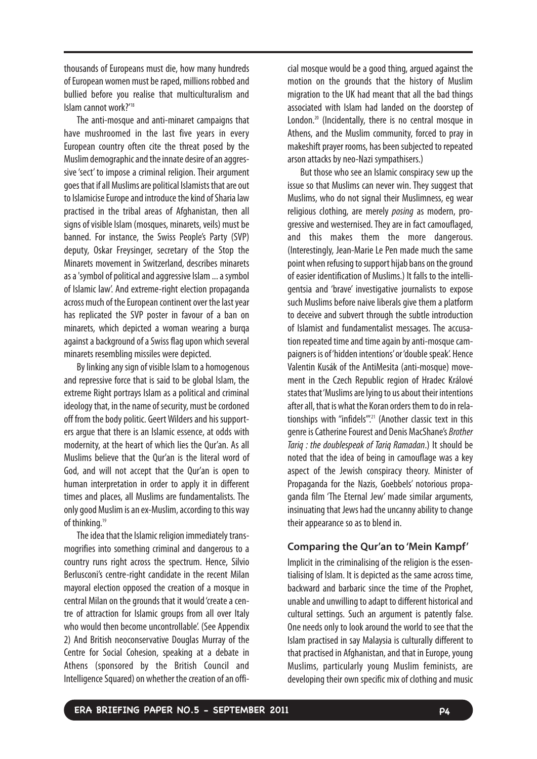thousands of Europeans must die, how many hundreds of European women must be raped, millions robbed and bullied before you realise that multiculturalism and Islam cannot work?'18

The anti-mosque and anti-minaret campaigns that have mushroomed in the last five years in every European country often cite the threat posed by the Muslim demographic and the innate desire of an aggressive 'sect' to impose a criminal religion. Their argument goes that if all Muslims are political Islamists that are out to Islamicise Europe and introduce the kind of Sharia law practised in the tribal areas of Afghanistan, then all signs of visible Islam (mosques, minarets, veils) must be banned. For instance, the Swiss People's Party (SVP) deputy, Oskar Freysinger, secretary of the Stop the Minarets movement in Switzerland, describes minarets as a 'symbol of political and aggressive Islam ... a symbol of Islamic law'. And extreme-right election propaganda across much of the European continent over the last year has replicated the SVP poster in favour of a ban on minarets, which depicted a woman wearing a burqa against a background of a Swiss flag upon which several minarets resembling missiles were depicted.

By linking any sign of visible Islam to a homogenous and repressive force that is said to be global Islam, the extreme Right portrays Islam as a political and criminal ideology that, in the name of security, must be cordoned off from the body politic. Geert Wilders and his supporters argue that there is an Islamic essence, at odds with modernity, at the heart of which lies the Qur'an. As all Muslims believe that the Qur'an is the literal word of God, and will not accept that the Qur'an is open to human interpretation in order to apply it in different times and places, all Muslims are fundamentalists. The only good Muslim is an ex-Muslim, according tothis way of thinking.<sup>19</sup>

The idea that the Islamic religion immediately transmogrifies into something criminal and dangerous to a country runs right across the spectrum. Hence, Silvio Berlusconi's centre-right candidate in the recent Milan mayoral election opposed the creation of a mosque in central Milan on the grounds that it would 'create a centre of attraction for Islamic groups from all over Italy who would then become uncontrollable'. (See Appendix 2) And British neoconservative Douglas Murray of the Centre for Social Cohesion, speaking at a debate in Athens (sponsored by the British Council and Intelligence Squared) on whether the creation of an official mosque would be a good thing, argued against the motion on the grounds that the history of Muslim migration to the UK had meant that all the bad things associated with Islam had landed on the doorstep of London.<sup>20</sup> (Incidentally, there is no central mosque in Athens, and the Muslim community, forced to pray in makeshift prayer rooms, has been subjected to repeated arson attacks by neo-Nazi sympathisers.)

But those who see an Islamic conspiracy sew up the issue so that Muslims can never win. They suggest that Muslims, who do not signal their Muslimness, eg wear religious clothing, are merely posing as modern, progressive and westernised. They are in fact camouflaged, and this makes them the more dangerous. (Interestingly, Jean-Marie Le Pen made much the same point when refusing to support hijab bans on the ground of easier identification of Muslims.) It falls to the intelligentsia and 'brave' investigative journalists to expose such Muslims before naive liberals give them a platform to deceive and subvert through the subtle introduction of Islamist and fundamentalist messages. The accusation repeated time and time again by anti-mosque campaigners is of 'hidden intentions' or 'double speak'. Hence Valentin Kusák of the AntiMesita (anti-mosque) movement in the Czech Republic region of Hradec Králové states that'Muslims are lying to us about their intentions after all, that is what the Koran orders them to do in relationships with "infidels".<sup>21</sup> (Another classic text in this genre is Catherine Fourest and Denis MacShane's Brother Tariq : the doublespeak of Tariq Ramadan.) It should be noted that the idea of being in camouflage was a key aspect of the Jewish conspiracy theory. Minister of Propaganda for the Nazis, Goebbels' notorious propaganda film 'The Eternal Jew' made similar arguments, insinuating that Jews had the uncanny ability to change their appearance so as to blend in.

# **Comparing the Qur'an to 'Mein Kampf'**

Implicit in the criminalising of the religion is the essentialising of Islam. It is depicted as the same across time, backward and barbaric since the time of the Prophet, unable and unwilling to adapt to different historical and cultural settings. Such an argument is patently false. One needs only to look around the world to see that the Islam practised in say Malaysia is culturally different to that practised in Afghanistan, and that in Europe, young Muslims, particularly young Muslim feminists, are developing their own specific mix of clothing and music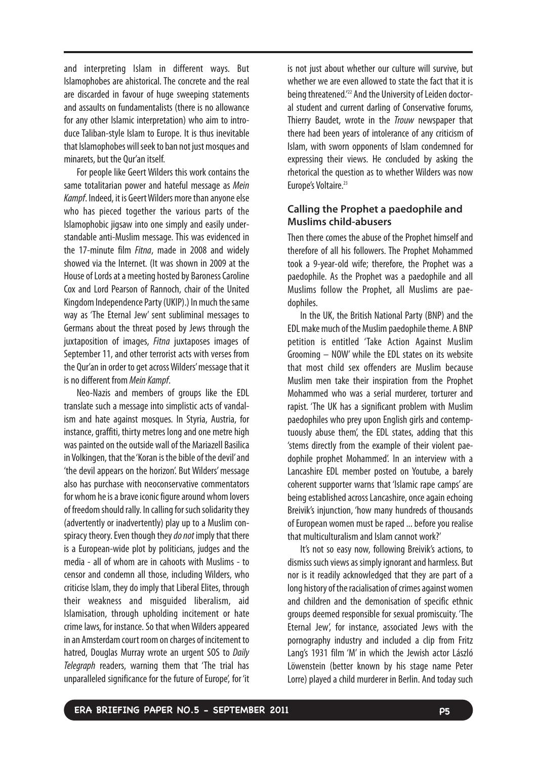and interpreting Islam in different ways. But Islamophobes are ahistorical. The concrete and the real are discarded in favour of huge sweeping statements and assaults on fundamentalists (there is no allowance for any other Islamic interpretation) who aim to introduce Taliban-style Islam to Europe. It is thus inevitable that Islamophobes will seek to ban not just mosques and minarets, but the Qur'an itself.

For people like Geert Wilders this work contains the same totalitarian power and hateful message as Mein Kampf. Indeed, it is Geert Wilders more than anyone else who has pieced together the various parts of the Islamophobic jigsaw into one simply and easily understandable anti-Muslim message. This was evidenced in the 17-minute film Fitna, made in 2008 and widely showed via the Internet. (It was shown in 2009 at the House of Lords at a meeting hosted by Baroness Caroline Cox and Lord Pearson of Rannoch, chair of the United Kingdom Independence Party (UKIP).) In much the same way as 'The Eternal Jew' sent subliminal messages to Germans about the threat posed by Jews through the juxtaposition of images, *Fitna* juxtaposes images of September 11, and other terrorist acts with verses from the Qur'an in order to get across Wilders' message that it is no different from Mein Kampf.

Neo-Nazis and members of groups like the EDL translate such a message into simplistic acts of vandalism and hate against mosques. In Styria, Austria, for instance, graffiti, thirty metres long and one metre high was painted on the outside wall of the Mariazell Basilica in Volkingen, that the 'Koran is the bible of the devil' and 'the devil appears on the horizon'. But Wilders' message also has purchase with neoconservative commentators for whom he is a brave iconic figure around whom lovers of freedom should rally. In calling for such solidarity they (advertently or inadvertently) play up to a Muslim conspiracy theory. Even though they do not imply that there is a European-wide plot by politicians, judges and the media - all of whom are in cahoots with Muslims - to censor and condemn all those, including Wilders, who criticise Islam, they do imply that Liberal Elites, through their weakness and misguided liberalism, aid Islamisation, through upholding incitement or hate crime laws, for instance. So that when Wilders appeared in an Amsterdam court room on charges of incitement to hatred, Douglas Murray wrote an urgent SOS to Daily Telegraph readers, warning them that 'The trial has unparalleled significance for the future of Europe', for 'it is not just about whether our culture will survive, but whether we are even allowed to state the fact that it is being threatened.'22 And the University of Leiden doctoral student and current darling of Conservative forums, Thierry Baudet, wrote in the *Trouw* newspaper that there had been years of intolerance of any criticism of Islam, with sworn opponents of Islam condemned for expressing their views. He concluded by asking the rhetorical the question as to whether Wilders was now Europe's Voltaire.<sup>23</sup>

# **Calling the Prophet a paedophile and Muslims child-abusers**

Then there comes the abuse of the Prophet himself and therefore of all his followers. The Prophet Mohammed took a 9-year-old wife; therefore, the Prophet was a paedophile. As the Prophet was a paedophile and all Muslims follow the Prophet, all Muslims are paedophiles.

In the UK, the British National Party (BNP) and the EDL make much of the Muslim paedophile theme. A BNP petition is entitled 'Take Action Against Muslim Grooming – NOW' while the EDL states on its website that most child sex offenders are Muslim because Muslim men take their inspiration from the Prophet Mohammed who was a serial murderer, torturer and rapist. 'The UK has a significant problem with Muslim paedophiles who prey upon English girls and contemptuously abuse them', the EDL states, adding that this 'stems directly from the example of their violent paedophile prophet Mohammed'. In an interview with a Lancashire EDL member posted on Youtube, a barely coherent supporter warns that 'Islamic rape camps' are being established across Lancashire, once again echoing Breivik's injunction, 'how many hundreds of thousands of European women must be raped ... before you realise that multiculturalism and Islam cannot work?'

It's not so easy now, following Breivik's actions, to dismiss such views as simply ignorant and harmless. But nor is it readily acknowledged that they are part of a long history of the racialisation of crimes against women and children and the demonisation of specific ethnic groups deemed responsible for sexual promiscuity. 'The Eternal Jew', for instance, associated Jews with the pornography industry and included a clip from Fritz Lang's 1931 film 'M' in which the Jewish actor László Löwenstein (better known by his stage name Peter Lorre) played a child murderer in Berlin. And today such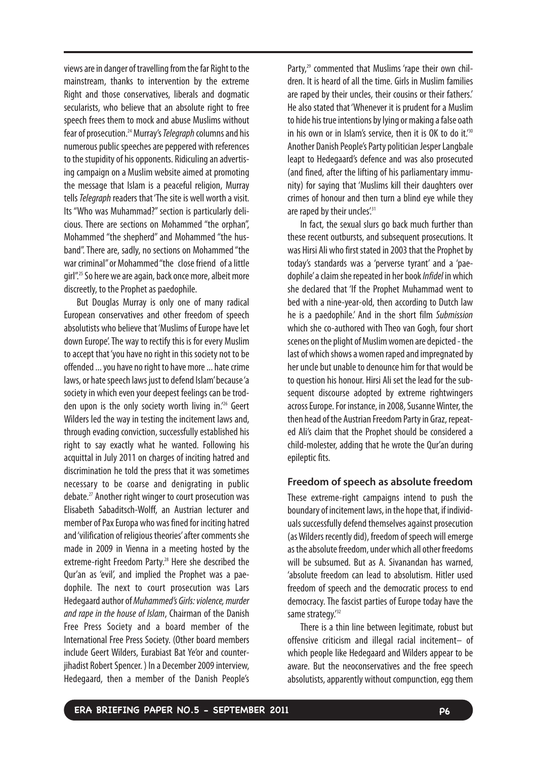views are in danger of travelling from the far Right to the mainstream, thanks to intervention by the extreme Right and those conservatives, liberals and dogmatic secularists, who believe that an absolute right to free speech frees them to mock and abuse Muslims without fear of prosecution.<sup>24</sup> Murray's *Telegraph* columns and his numerous public speeches are peppered with references to the stupidity of his opponents. Ridiculing an advertising campaign on a Muslim website aimed at promoting the message that Islam is a peaceful religion, Murray tells Telegraph readers that 'The site is well worth a visit. Its "Who was Muhammad?" section is particularly delicious. There are sections on Mohammed "the orphan", Mohammed "the shepherd" and Mohammed "the husband". There are, sadly, no sections on Mohammed "the war criminal"or Mohammed "the close friend of a little girl".<sup>25</sup> So here we are again, back once more, albeit more discreetly, to the Prophet as paedophile.

But Douglas Murray is only one of many radical European conservatives and other freedom of speech absolutists who believe that 'Muslims of Europe have let down Europe'. The way to rectify this is for every Muslim to accept that 'you have no right in this society not to be offended ... you have no right to have more ... hate crime laws, or hate speech laws just to defend Islam'because 'a society in which even your deepest feelings can be trodden upon is the only society worth living in.'26 Geert Wilders led the way in testing the incitement laws and, through evading conviction, successfully established his right to say exactly what he wanted. Following his acquittal in July 2011 on charges of inciting hatred and discrimination he told the press that it was sometimes necessary to be coarse and denigrating in public debate.27 Another right winger to court prosecution was Elisabeth Sabaditsch-Wolff, an Austrian lecturer and member of Pax Europa who was fined for inciting hatred and 'vilification of religious theories' after comments she made in 2009 in Vienna in a meeting hosted by the extreme-right Freedom Party.<sup>28</sup> Here she described the Qur'an as 'evil', and implied the Prophet was a paedophile. The next to court prosecution was Lars Hedegaard author of Muhammed's Girls: violence, murder and rape in the house of Islam, Chairman of the Danish Free Press Society and a board member of the International Free Press Society. (Other board members include Geert Wilders, Eurabiast Bat Ye'or and counterjihadist Robert Spencer. ) In a December 2009 interview, Hedegaard, then a member of the Danish People's Party,<sup>29</sup> commented that Muslims 'rape their own children. It is heard of all the time. Girls in Muslim families are raped by their uncles, their cousins or their fathers.' He also stated that 'Whenever it is prudent for a Muslim to hide his true intentions by lying or making a false oath in his own or in Islam's service, then it is OK to do it.<sup>730</sup> Another Danish People's Party politician Jesper Langbale leapt to Hedegaard's defence and was also prosecuted (and fined, after the lifting of his parliamentary immunity) for saying that 'Muslims kill their daughters over crimes of honour and then turn a blind eye while they are raped by their uncles'.<sup>31</sup>

In fact, the sexual slurs go back much further than these recent outbursts, and subsequent prosecutions. It was Hirsi Ali who first stated in 2003 that the Prophet by today's standards was a 'perverse tyrant' and a 'paedophile'a claim she repeated in her book Infidel in which she declared that 'If the Prophet Muhammad went to bed with a nine-year-old, then according to Dutch law he is a paedophile.' And in the short film Submission which she co-authored with Theo van Gogh, four short scenes on the plight of Muslim women are depicted - the last of which shows a women raped and impregnated by her uncle but unable to denounce him for that would be to question his honour. Hirsi Ali set the lead for the subsequent discourse adopted by extreme rightwingers across Europe. For instance, in 2008, Susanne Winter, the then head of the Austrian Freedom Party in Graz, repeated Ali's claim that the Prophet should be considered a child-molester, adding that he wrote the Qur'an during epileptic fits.

# **Freedom of speech as absolute freedom**

These extreme-right campaigns intend to push the boundary of incitement laws, in the hope that, if individuals successfully defend themselves against prosecution (as Wilders recently did), freedom of speech will emerge as the absolute freedom, under which all other freedoms will be subsumed. But as A. Sivanandan has warned. 'absolute freedom can lead to absolutism. Hitler used freedom of speech and the democratic process to end democracy. The fascist parties of Europe today have the same strategy.<sup>'32</sup>

There is a thin line between legitimate, robust but offensive criticism and illegal racial incitement– of which people like Hedegaard and Wilders appear to be aware. But the neoconservatives and the free speech absolutists, apparently without compunction, egg them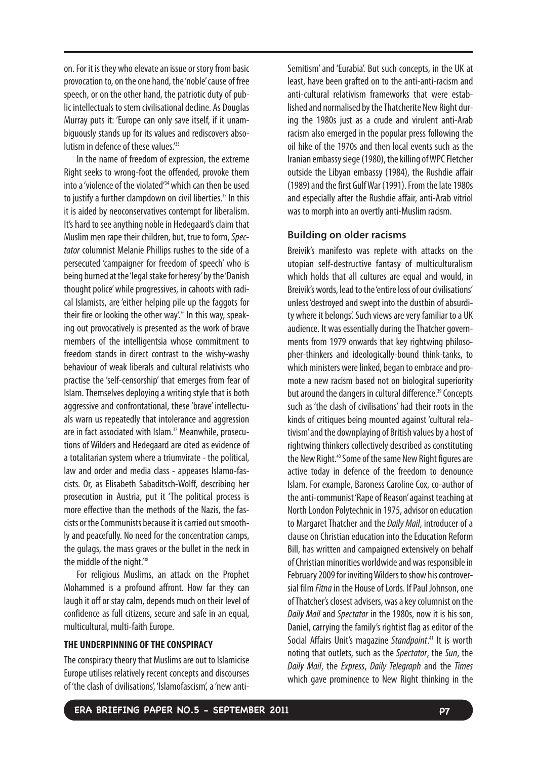on. For it is they who elevate an issue or story from basic provocation to, on the one hand, the 'noble' cause of free speech, or on the other hand, the patriotic duty of public intellectuals to stem civilisational decline. As Douglas Murray puts it: 'Europe can only save itself, if it unambiguously stands up for its values and rediscovers absolutism in defence of these values.<sup>'33</sup>

In the name of freedom of expression, the extreme Right seeks to wrong-foot the offended, provoke them into a 'violence of the violated'<sup>34</sup> which can then be used to justify a further clampdown on civil liberties.<sup>35</sup> In this it is aided by neoconservatives contempt for liberalism. It's hard to see anything noble in Hedegaard's claim that Muslim men rape their children, but, true to form, Spectator columnist Melanie Phillips rushes to the side of a persecuted 'campaigner for freedom of speech' who is being burned at the 'legal stake for heresy'by the 'Danish thought police' while progressives, in cahoots with radical Islamists, are 'either helping pile up the faggots for their fire or looking the other way.<sup>36</sup> In this way, speaking out provocatively is presented as the work of brave members of the intelligentsia whose commitment to freedom stands in direct contrast to the wishy-washy behaviour of weak liberals and cultural relativists who practise the 'self-censorship' that emerges from fear of Islam. Themselves deploying a writing style that is both aggressive and confrontational, these 'brave' intellectuals warn us repeatedly that intolerance and aggression are in fact associated with Islam.<sup>37</sup> Meanwhile, prosecutions of Wilders and Hedegaard are cited as evidence of a totalitarian system where a triumvirate - the political, law and order and media class - appeases Islamo-fascists. Or, as Elisabeth Sabaditsch-Wolff, describing her prosecution in Austria, put it 'The political process is more effective than the methods of the Nazis, the fascists or the Communists because it is carried out smoothly and peacefully. No need for the concentration camps, the gulags, the mass graves or the bullet in the neck in the middle of the night.<sup>'38</sup>

For religious Muslims, an attack on the Prophet Mohammed is a profound affront. How far they can laugh it off or stay calm, depends much on their level of confidence as full citizens, secure and safe in an equal, multicultural, multi-faith Europe.

#### **THE UNDERPINNING OF THE CONSPIRACY**

The conspiracy theory that Muslims are out to Islamicise Europe utilises relatively recent concepts and discourses of 'the clash of civilisations', 'Islamofascism', a 'new antiSemitism' and 'Eurabia'. But such concepts, in the UK at least, have been grafted on to the anti-anti-racism and anti-cultural relativism frameworks that were established and normalised by the Thatcherite New Right during the 1980s just as a crude and virulent anti-Arab racism also emerged in the popular press following the oil hike of the 1970s and then local events such as the Iranian embassy siege (1980), the killing of WPC Fletcher outside the Libyan embassy (1984), the Rushdie affair (1989) and the first Gulf War (1991). From the late 1980s and especially after the Rushdie affair, anti-Arab vitriol was to morph into an overtly anti-Muslim racism.

#### **Building on older racisms**

Breivik's manifesto was replete with attacks on the utopian self-destructive fantasy of multiculturalism which holds that all cultures are equal and would, in Breivik's words, lead to the 'entire loss of our civilisations' unless 'destroyed and swept into the dustbin of absurdity where it belongs'. Such views are very familiar to a UK audience. It was essentially during the Thatcher governments from 1979 onwards that key rightwing philosopher-thinkers and ideologically-bound think-tanks, to which ministers were linked, began to embrace and promote a new racism based not on biological superiority but around the dangers in cultural difference.<sup>39</sup> Concepts such as 'the clash of civilisations' had their roots in the kinds of critiques being mounted against 'cultural relativism'and the downplaying of British values by a host of rightwing thinkers collectively described as constituting the New Right. <sup>40</sup> Some of the same New Right figures are active today in defence of the freedom to denounce Islam. For example, Baroness Caroline Cox, co-author of the anti-communist 'Rape of Reason' against teaching at North London Polytechnic in 1975, advisor on education to Margaret Thatcher and the Daily Mail, introducer of a clause on Christian education into the Education Reform Bill, has written and campaigned extensively on behalf of Christian minorities worldwide and was responsible in February 2009 for inviting Wilders to show his controversial film Fitna in the House of Lords. If Paul Johnson, one of Thatcher's closest advisers, was a key columnist on the Daily Mail and Spectator in the 1980s, now it is his son, Daniel, carrying the family's rightist flag as editor of the Social Affairs Unit's magazine Standpoint.<sup>41</sup> It is worth noting that outlets, such as the Spectator, the Sun, the Daily Mail, the Express, Daily Telegraph and the Times which gave prominence to New Right thinking in the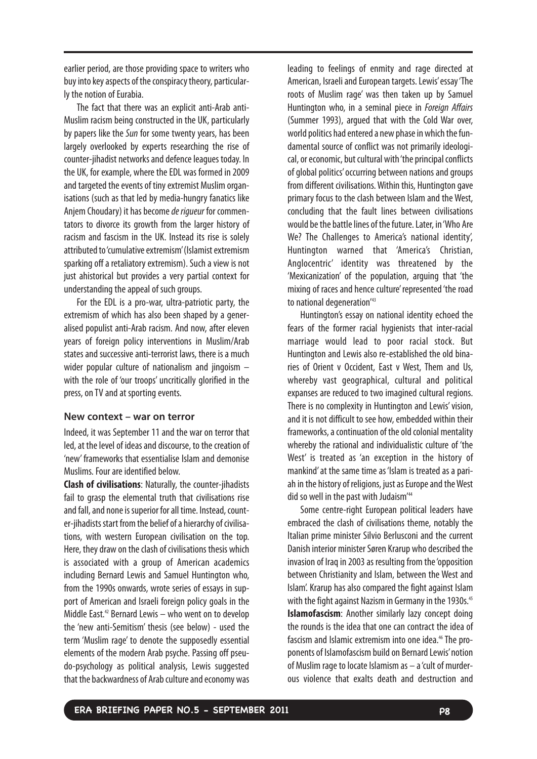earlier period, are those providing space to writers who buy into key aspects of the conspiracy theory, particularly the notion of Eurabia.

The fact that there was an explicit anti-Arab anti-Muslim racism being constructed in the UK, particularly by papers like the Sun for some twenty years, has been largely overlooked by experts researching the rise of counter-jihadist networks and defence leagues today. In the UK, for example, where the EDL was formed in 2009 and targeted the events of tiny extremist Muslim organisations (such as that led by media-hungry fanatics like Anjem Choudary) it has become de rigueur for commentators to divorce its growth from the larger history of racism and fascism in the UK. Instead its rise is solely attributed to 'cumulative extremism'(Islamist extremism sparking off a retaliatory extremism). Such a view is not just ahistorical but provides a very partial context for understanding the appeal of such groups.

For the EDL is a pro-war, ultra-patriotic party, the extremism of which has also been shaped by a generalised populist anti-Arab racism. And now, after eleven years of foreign policy interventions in Muslim/Arab states and successive anti-terrorist laws, there is a much wider popular culture of nationalism and jingoism – with the role of 'our troops' uncritically glorified in the press, on TV and at sporting events.

#### **New context – war on terror**

Indeed, it was September 11 and the war on terror that led, at the level of ideas and discourse, to the creation of 'new' frameworks that essentialise Islam and demonise Muslims. Four are identified below.

**Clash of civilisations**: Naturally, the counter-jihadists fail to grasp the elemental truth that civilisations rise and fall, and none is superior for all time. Instead, counter-jihadists start from the belief of a hierarchy of civilisations, with western European civilisation on the top. Here, they draw on the clash of civilisations thesis which is associated with a group of American academics including Bernard Lewis and Samuel Huntington who, from the 1990s onwards, wrote series of essays in support of American and Israeli foreign policy goals in the Middle East.<sup>42</sup> Bernard Lewis – who went on to develop the 'new anti-Semitism' thesis (see below) - used the term 'Muslim rage' to denote the supposedly essential elements of the modern Arab psyche. Passing off pseudo-psychology as political analysis, Lewis suggested that the backwardness of Arab culture and economy was leading to feelings of enmity and rage directed at American, Israeli and European targets. Lewis' essay 'The roots of Muslim rage' was then taken up by Samuel Huntington who, in a seminal piece in Foreign Affairs (Summer 1993), argued that with the Cold War over, world politics had entered a new phase in which the fundamental source of conflict was not primarily ideological, or economic, but cultural with 'the principal conflicts of global politics' occurring between nations and groups from different civilisations. Within this, Huntington gave primary focus to the clash between Islam and the West, concluding that the fault lines between civilisations would be the battle lines of the future. Later, in 'Who Are We? The Challenges to America's national identity', Huntington warned that 'America's Christian, Anglocentric' identity was threatened by the 'Mexicanization' of the population, arguing that 'the mixing of races and hence culture' represented 'the road to national degeneration<sup>143</sup>

Huntington's essay on national identity echoed the fears of the former racial hygienists that inter-racial marriage would lead to poor racial stock. But Huntington and Lewis also re-established the old binaries of Orient v Occident, East v West, Them and Us, whereby vast geographical, cultural and political expanses are reduced to two imagined cultural regions. There is no complexity in Huntington and Lewis' vision, and it is not difficult to see how, embedded within their frameworks, a continuation of the old colonial mentality whereby the rational and individualistic culture of 'the West' is treated as 'an exception in the history of mankind' at the same time as 'Islam is treated as a pariah in the history of religions, just as Europe and the West did so well in the past with Judaism<sup>'44</sup>

Some centre-right European political leaders have embraced the clash of civilisations theme, notably the Italian prime minister Silvio Berlusconi and the current Danish interior minister Søren Krarup who described the invasion of Iraq in 2003 as resulting from the 'opposition between Christianity and Islam, between the West and Islam'. Krarup has also compared the fight against Islam with the fight against Nazism in Germany in the 1930s.<sup>45</sup> **Islamofascism**: Another similarly lazy concept doing the rounds is the idea that one can contract the idea of fascism and Islamic extremism into one idea.<sup>46</sup> The proponents of Islamofascism build on Bernard Lewis' notion of Muslim rage to locate Islamism as – a 'cult of murderous violence that exalts death and destruction and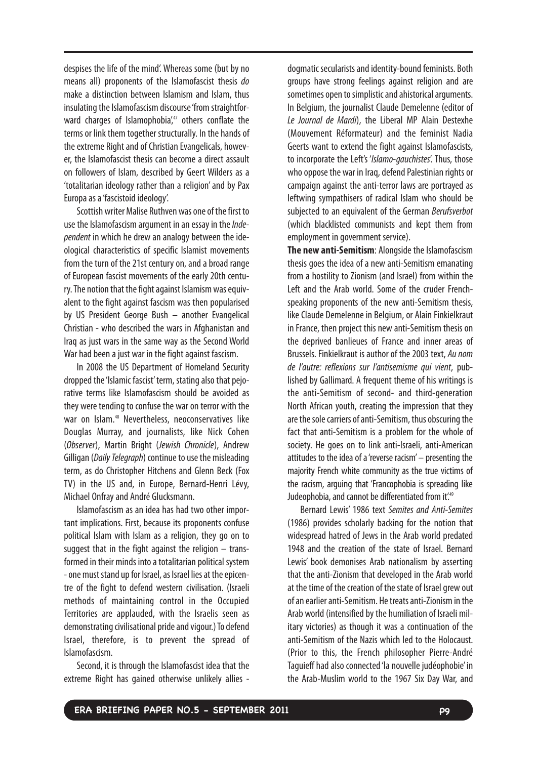despises the life of the mind'. Whereas some (but by no means all) proponents of the Islamofascist thesis do make a distinction between Islamism and Islam, thus insulating the Islamofascism discourse 'from straightforward charges of Islamophobia', $47$  others conflate the terms or link them together structurally. In the hands of the extreme Right and of Christian Evangelicals, however, the Islamofascist thesis can become a direct assault on followers of Islam, described by Geert Wilders as a 'totalitarian ideology rather than a religion' and by Pax Europa as a 'fascistoid ideology'.

Scottish writer Malise Ruthven was one of the first to use the Islamofascism argument in an essay in the *Inde*pendent in which he drew an analogy between the ideological characteristics of specific Islamist movements from the turn of the 21st century on, and a broad range of European fascist movements of the early 20th century. The notion that the fight against Islamism was equivalent to the fight against fascism was then popularised by US President George Bush – another Evangelical Christian - who described the wars in Afghanistan and Iraq as just wars in the same way as the Second World War had been a just war in the fight against fascism.

In 2008 the US Department of Homeland Security dropped the 'Islamic fascist' term, stating also that pejorative terms like Islamofascism should be avoided as they were tending to confuse the war on terror with the war on Islam.<sup>48</sup> Nevertheless, neoconservatives like Douglas Murray, and journalists, like Nick Cohen (Observer), Martin Bright (Jewish Chronicle), Andrew Gilligan (Daily Telegraph) continue to use the misleading term, as do Christopher Hitchens and Glenn Beck (Fox TV) in the US and, in Europe, Bernard-Henri Lévy, Michael Onfray and André Glucksmann.

Islamofascism as an idea has had two other important implications. First, because its proponents confuse political Islam with Islam as a religion, they go on to suggest that in the fight against the religion – transformed in their minds into a totalitarian political system -one must stand up for Israel, as Israel lies at the epicentre of the fight to defend western civilisation. (Israeli methods of maintaining control in the Occupied Territories are applauded, with the Israelis seen as demonstrating civilisational pride and vigour.) To defend Israel, therefore, is to prevent the spread of Islamofascism.

Second, it is through the Islamofascist idea that the extreme Right has gained otherwise unlikely allies -

dogmatic secularists and identity-bound feminists. Both groups have strong feelings against religion and are sometimes open to simplistic and ahistorical arguments. In Belgium, the journalist Claude Demelenne (editor of Le Journal de Mardi), the Liberal MP Alain Destexhe (Mouvement Réformateur) and the feminist Nadia Geerts want to extend the fight against Islamofascists, to incorporate the Left's 'Islamo-gauchistes'. Thus, those who oppose the war in Iraq, defend Palestinian rights or campaign against the anti-terror laws are portrayed as leftwing sympathisers of radical Islam who should be subjected to an equivalent of the German Berufsverbot (which blacklisted communists and kept them from employment in government service).

**The new anti-Semitism**: Alongside the Islamofascism thesis goes the idea of a new anti-Semitism emanating from a hostility to Zionism (and Israel) from within the Left and the Arab world. Some of the cruder Frenchspeaking proponents of the new anti-Semitism thesis, like Claude Demelenne in Belgium, or Alain Finkielkraut in France, then project this new anti-Semitism thesis on the deprived banlieues of France and inner areas of Brussels. Finkielkraut is author of the 2003 text, Au nom de l'autre: reflexions sur l'antisemisme qui vient, published by Gallimard. A frequent theme of his writings is the anti-Semitism of second- and third-generation North African youth, creating the impression that they are the sole carriers of anti-Semitism, thus obscuring the fact that anti-Semitism is a problem for the whole of society. He goes on to link anti-Israeli, anti-American attitudes to the idea of a 'reverse racism' – presenting the majority French white community as the true victims of the racism, arguing that 'Francophobia is spreading like Judeophobia, and cannot be differentiated from it'.49

Bernard Lewis' 1986 text Semites and Anti-Semites (1986) provides scholarly backing for the notion that widespread hatred of Jews in the Arab world predated 1948 and the creation of the state of Israel. Bernard Lewis' book demonises Arab nationalism by asserting that the anti-Zionism that developed in the Arab world at the time of the creation of the state of Israel grew out of an earlier anti-Semitism. He treats anti-Zionism in the Arab world (intensified by the humiliation of Israeli military victories) as though it was a continuation of the anti-Semitism of the Nazis which led to the Holocaust. (Prior to this, the French philosopher Pierre-André Taguieff had also connected 'la nouvelle judéophobie' in the Arab-Muslim world to the 1967 Six Day War, and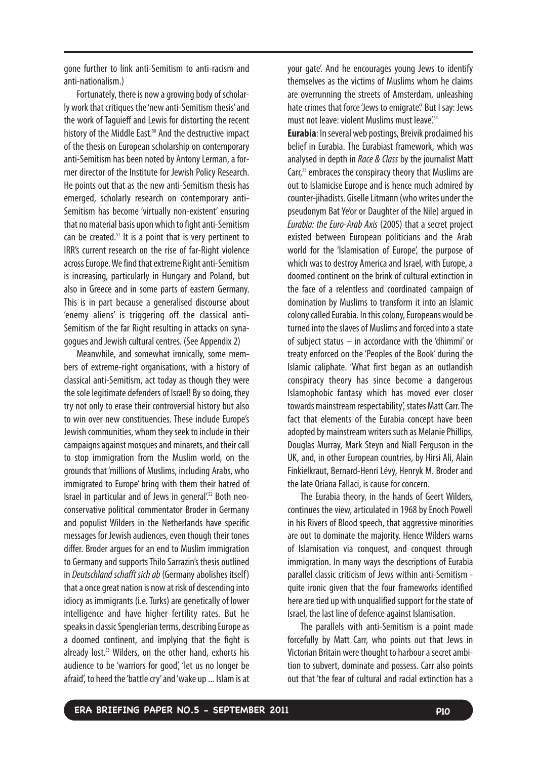gone further to link anti-Semitism to anti-racism and anti-nationalism.)

Fortunately, there is now a growing body of scholarly work that critiques the 'new anti-Semitism thesis' and the work of Taguieff and Lewis for distorting the recent history of the Middle East.<sup>50</sup> And the destructive impact of the thesis on European scholarship on contemporary anti-Semitism has been noted by Antony Lerman, a former director of the Institute for Jewish Policy Research. He points out that as the new anti-Semitism thesis has emerged, scholarly research on contemporary anti-Semitism has become 'virtually non-existent' ensuring that no material basis upon which to fight anti-Semitism can be created.<sup>51</sup> It is a point that is very pertinent to IRR's current research on the rise of far-Right violence across Europe. We find that extreme Right anti-Semitism is increasing, particularly in Hungary and Poland, but also in Greece and in some parts of eastern Germany. This is in part because a generalised discourse about 'enemy aliens' is triggering off the classical anti-Semitism of the far Right resulting in attacks on synagogues and Jewish cultural centres. (See Appendix 2)

Meanwhile, and somewhat ironically, some members of extreme-right organisations, with a history of classical anti-Semitism, act today as though they were the sole legitimate defenders of Israel! By so doing, they try not only to erase their controversial history but also to win over new constituencies. These include Europe's Jewish communities, whom they seek to include in their campaigns against mosques and minarets, and their call to stop immigration from the Muslim world, on the grounds that 'millions of Muslims, including Arabs, who immigrated to Europe' bring with them their hatred of Israel in particular and of Jews in general'.52 Both neoconservative political commentator Broder in Germany and populist Wilders in the Netherlands have specific messages for Jewish audiences, even though their tones differ. Broder argues for an end to Muslim immigration to Germany and supports Thilo Sarrazin's thesis outlined in Deutschland schafft sich ab (Germany abolishes itself) that a once great nation is now at risk of descending into idiocy as immigrants (i.e. Turks) are genetically of lower intelligence and have higher fertility rates. But he speaks in classic Spenglerian terms, describing Europe as a doomed continent, and implying that the fight is already lost. <sup>53</sup> Wilders, on the other hand, exhorts his audience to be 'warriors for good', 'let us no longer be afraid', to heed the 'battle cry' and 'wake up ... Islam is at your gate'. And he encourages young Jews to identify themselves as the victims of Muslims whom he claims are overrunning the streets of Amsterdam, unleashing hate crimes that force 'Jews to emigrate'.' But I say: Jews must not leave: violent Muslims must leave<sup>'54</sup>

**Eurabia**: In several web postings, Breivik proclaimed his belief in Eurabia. The Eurabiast framework, which was analysed in depth in Race & Class by the journalist Matt Carr,<sup>55</sup> embraces the conspiracy theory that Muslims are out to Islamicise Europe and is hence much admired by counter-jihadists. Giselle Litmann (who writes under the pseudonym Bat Ye'or or Daughter of the Nile) argued in Eurabia: the Euro-Arab Axis (2005) that a secret project existed between European politicians and the Arab world for the 'Islamisation of Europe', the purpose of which was to destroy America and Israel, with Europe, a doomed continent on the brink of cultural extinction in the face of a relentless and coordinated campaign of domination by Muslims to transform it into an Islamic colony called Eurabia. In this colony, Europeans would be turned into the slaves of Muslims and forced into a state of subject status – in accordance with the 'dhimmi' or treaty enforced on the 'Peoples of the Book' during the Islamic caliphate. 'What first began as an outlandish conspiracy theory has since become a dangerous Islamophobic fantasy which has moved ever closer towards mainstream respectability', states Matt Carr. The fact that elements of the Eurabia concept have been adopted by mainstream writers such as Melanie Phillips, Douglas Murray, Mark Steyn and Niall Ferguson in the UK, and, in other European countries, by Hirsi Ali, Alain Finkielkraut, Bernard-Henri Lévy, Henryk M. Broder and the late Oriana Fallaci, is cause for concern.

The Eurabia theory, in the hands of Geert Wilders, continues the view, articulated in 1968 by Enoch Powell in his Rivers of Blood speech, that aggressive minorities are out to dominate the majority. Hence Wilders warns of Islamisation via conquest, and conquest through immigration. In many ways the descriptions of Eurabia parallel classic criticism of Jews within anti-Semitism quite ironic given that the four frameworks identified here are tied up with unqualified support for the state of Israel, the last line of defence against Islamisation.

The parallels with anti-Semitism is a point made forcefully by Matt Carr, who points out that Jews in Victorian Britain were thought to harbour a secret ambition to subvert, dominate and possess. Carr also points out that 'the fear of cultural and racial extinction has a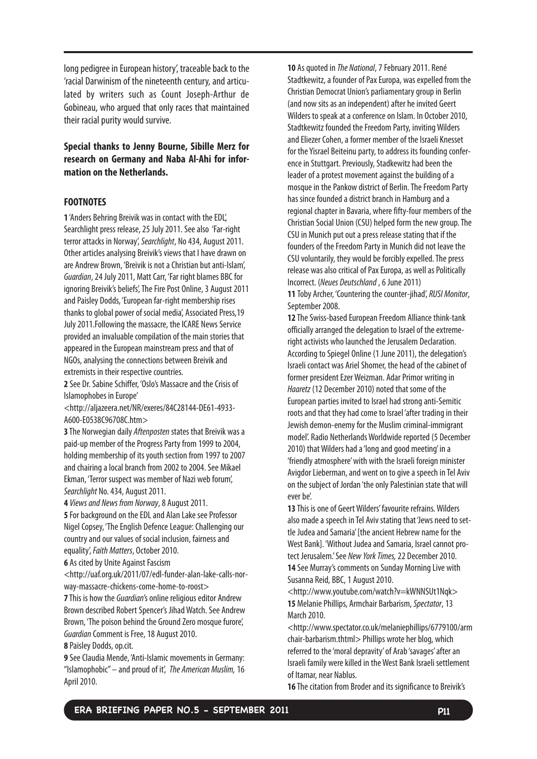long pedigree in European history', traceable back to the 'racial Darwinism of the nineteenth century, and articulated by writers such as Count Joseph-Arthur de Gobineau, who argued that only races that maintained their racial purity would survive.

# **Special thanks to Jenny Bourne, Sibille Merz for research on Germany and Naba Al-Ahi for information on the Netherlands.**

#### **FOOTNOTES**

**1** 'Anders Behring Breivik was in contact with the EDL', Searchlight press release, 25 July 2011. See also 'Far-right terror attacks in Norway', Searchlight, No 434, August 2011. Other articles analysing Breivik's views that I have drawn on are Andrew Brown, 'Breivik is not a Christian but anti-Islam', Guardian,24 July 2011, Matt Carr, 'Far right blames BBC for ignoring Breivik's beliefs', The Fire Post Online, 3 August 2011 and Paisley Dodds, 'European far-right membership rises thanks to global power of social media', Associated Press,19 July 2011.Following the massacre, the ICARE News Service provided an invaluable compilation of the main stories that appeared in the European mainstream press and that of NGOs, analysing the connections between Breivik and extremists in their respective countries.

**2** See Dr. Sabine Schiffer, 'Oslo's Massacre and the Crisis of Islamophobes in Europe'

<http://aljazeera.net/NR/exeres/84C28144-DE61-4933- A600-E0538C96708C.htm>

**3** The Norwegian daily Aftenposten states that Breivik was a paid-up member of the Progress Party from 1999 to 2004, holding membership of its youth section from 1997 to 2007 and chairing a local branch from 2002 to 2004. See Mikael Ekman, 'Terror suspect was member of Nazi web forum', Searchlight No. 434, August 2011.

**4** Views and News from Norway,8 August 2011.

**5** For background on the EDL and Alan Lake see Professor Nigel Copsey, 'The English Defence League: Challenging our country and our values of social inclusion, fairness and equality', Faith Matters, October 2010.

**6** As cited by Unite Against Fascism

<http://uaf.org.uk/2011/07/edl-funder-alan-lake-calls-norway-massacre-chickens-come-home-to-roost>

**7** This is how the *Guardian's* online religious editor Andrew Brown described Robert Spencer's Jihad Watch. See Andrew Brown, 'The poison behind the Ground Zero mosque furore', Guardian Comment is Free, 18 August 2010.

**8** Paisley Dodds, op.cit.

**9** See Claudia Mende, 'Anti-Islamic movements in Germany: "Islamophobic"– and proud of it', The American Muslim,16 April 2010.

**10** As quoted in *The National, 7* February 2011. René Stadtkewitz, a founder of Pax Europa, was expelled from the Christian Democrat Union's parliamentary group in Berlin (and now sits as an independent) after he invited Geert Wilders to speak at a conference on Islam. In October 2010, Stadtkewitz founded the Freedom Party, inviting Wilders and Eliezer Cohen, a former member of the Israeli Knesset for the Yisrael Beiteinu party, to address its founding conference in Stuttgart. Previously, Stadkewitz had been the leader of a protest movement against the building of a mosque in the Pankow district of Berlin. The Freedom Party has since founded a district branch in Hamburg and a regional chapter in Bavaria, where fifty-four members of the Christian Social Union (CSU) helped form the new group. The CSU in Munich put out a press release stating that if the founders of the Freedom Party in Munich did not leave the CSU voluntarily, they would be forcibly expelled. The press release was also critical of Pax Europa, as well as Politically Incorrect. (Neues Deutschland, 6 June 2011) **11** Toby Archer, 'Countering the counter-jihad', RUSI Monitor,

September 2008.

**12** The Swiss-based European Freedom Alliance think-tank officially arranged the delegation to Israel of the extremeright activists who launched the Jerusalem Declaration. According to Spiegel Online (1 June 2011), the delegation's Israeli contact was Ariel Shomer, the head of the cabinet of former president Ezer Weizman. Adar Primor writing in Haaretz (12 December 2010) noted that some of the European parties invited to Israel had strong anti-Semitic roots and that they had come to Israel 'after trading in their Jewish demon-enemy for the Muslim criminal-immigrant model'. Radio Netherlands Worldwide reported (5 December 2010) that Wilders had a 'long and good meeting' in a 'friendly atmosphere'with with the Israeli foreign minister Avigdor Lieberman, and went on to give a speech in Tel Aviv on the subject of Jordan 'the only Palestinian state that will ever be'.

**13** This is one of Geert Wilders' favourite refrains. Wilders also made a speech in Tel Aviv stating that'Jews need to settle Judea and Samaria' [the ancient Hebrew name for the West Bank]. 'Without Judea and Samaria, Israel cannot protect Jerusalem.' See New York Times, 22 December 2010. **14** See Murray's comments on Sunday Morning Live with Susanna Reid, BBC, 1 August 2010.

<http://www.youtube.com/watch?v=kWNNSUt1Nqk> **15** Melanie Phillips, Armchair Barbarism, Spectator,13 March 2010.

<http://www.spectator.co.uk/melaniephillips/6779100/arm chair-barbarism.thtml> Phillips wrote her blog, which referred to the 'moral depravity' of Arab 'savages' after an Israeli family were killed in the West Bank Israeli settlement of Itamar, near Nablus.

**16** The citation from Broder and its significance to Breivik's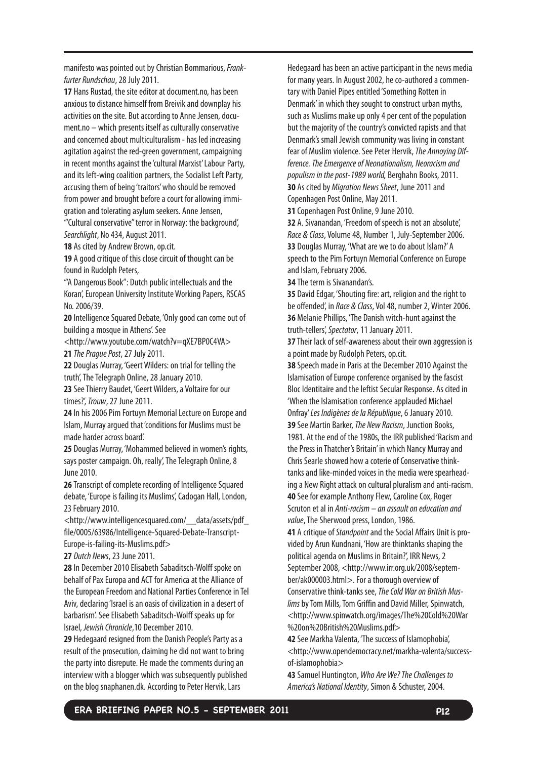manifesto was pointed out by Christian Bommarious, Frankfurter Rundschau,28 July 2011.

**17** Hans Rustad, the site editor at document.no, has been anxious to distance himself from Breivik and downplay his activities on the site. But according to Anne Jensen, document.no – which presents itself as culturally conservative and concerned about multiculturalism - has led increasing agitation against the red-green government, campaigning in recent months against the 'cultural Marxist' Labour Party, and its left-wing coalition partners, the Socialist Left Party, accusing them of being 'traitors' who should be removed from power and brought before a court for allowing immigration and tolerating asylum seekers. Anne Jensen,

'"Cultural conservative" terror in Norway: the background', Searchlight, No 434, August 2011.

**18** As cited by Andrew Brown, op.cit.

**19** A good critique of this close circuit of thought can be found in Rudolph Peters,

'"A Dangerous Book": Dutch public intellectuals and the Koran', European University Institute Working Papers, RSCAS No. 2006/39.

**20** Intelligence Squared Debate, 'Only good can come out of building a mosque in Athens'. See

<http://www.youtube.com/watch?v=qXE7BP0C4VA> **21** The Prague Post,27 July 2011.

**22** Douglas Murray, 'Geert Wilders: on trial for telling the truth', The Telegraph Online, 28 January 2010.

**23** See Thierry Baudet, 'Geert Wilders, a Voltaire for our times?', Trouw,27 June 2011.

**24** In his 2006 Pim Fortuyn Memorial Lecture on Europe and Islam, Murray argued that 'conditions for Muslims must be made harder across board'.

**25** Douglas Murray, 'Mohammed believed in women's rights, says poster campaign. Oh, really', The Telegraph Online, 8 June 2010.

**26** Transcript of complete recording of Intelligence Squared debate, 'Europe is failing its Muslims', Cadogan Hall, London, 23 February 2010.

<http://www.intelligencesquared.com/\_\_data/assets/pdf\_ file/0005/63986/Intelligence-Squared-Debate-Transcript-Europe-is-failing-its-Muslims.pdf>

**27** Dutch News,23 June 2011.

**28** In December 2010 Elisabeth Sabaditsch-Wolff spoke on behalf of Pax Europa and ACT for America at the Alliance of the European Freedom and National Parties Conference in Tel Aviv, declaring 'Israel is an oasis of civilization in a desert of barbarism'. See Elisabeth Sabaditsch-Wolff speaks up for Israel, Jewish Chronicle,10 December 2010.

**29** Hedegaard resigned from the Danish People's Party as a result of the prosecution, claiming he did not want to bring the party into disrepute. He made the comments during an interview with a blogger which was subsequently published on the blog snaphanen.dk. According to Peter Hervik, Lars

Hedegaard has been an active participant in the news media for many years. In August 2002, he co-authored a commentary with Daniel Pipes entitled 'Something Rotten in Denmark' in which they sought to construct urban myths, such as Muslims make up only 4 per cent of the population but the majority of the country's convicted rapists and that Denmark's small Jewish community was living in constant fear of Muslim violence. See Peter Hervik, The Annoying Difference. The Emergence of Neonationalism, Neoracism and populism in the post-1989 world, Berghahn Books, 2011. **30** As cited by Migration News Sheet, June 2011 and Copenhagen Post Online, May 2011.

**31** Copenhagen Post Online, 9 June 2010.

**32** A. Sivanandan, 'Freedom of speech is not an absolute', Race & Class, Volume 48, Number 1, July-September 2006. **33** Douglas Murray, 'What are we to do about Islam?' A speech to the Pim Fortuyn Memorial Conference on Europe and Islam, February 2006.

**34** The term is Sivanandan's.

**35** David Edgar, 'Shouting fire: art, religion and the right to be offended', in Race & Class, Vol 48, number 2, Winter 2006. **36** Melanie Phillips, 'The Danish witch-hunt against the truth-tellers', Spectator, 11 January 2011.

**37** Their lack of self-awareness about their own aggression is a point made by Rudolph Peters, op.cit.

**38** Speech made in Paris at the December 2010 Against the Islamisation of Europe conference organised by the fascist Bloc Identitaire and the leftist Secular Response. As cited in 'When the Islamisation conference applauded Michael Onfray' Les Indigènes de la République, 6 January 2010. **39** See Martin Barker, The New Racism, Junction Books,

1981. At the end of the 1980s, the IRR published 'Racism and the Press in Thatcher's Britain' in which Nancy Murray and Chris Searle showed how a coterie of Conservative thinktanks and like-minded voices in the media were spearheading a New Right attack on cultural pluralism and anti-racism. **40** See for example Anthony Flew, Caroline Cox, Roger Scruton et al in Anti-racism – an assault on education and value, The Sherwood press, London, 1986.

41 A critique of Standpoint and the Social Affairs Unit is provided by Arun Kundnani, 'How are thinktanks shaping the political agenda on Muslims in Britain?', IRR News, 2 September 2008, <http://www.irr.org.uk/2008/september/ak000003.html>. For a thorough overview of Conservative think-tanks see, The Cold War on British Muslims by Tom Mills, Tom Griffin and David Miller, Spinwatch, <http://www.spinwatch.org/images/The%20Cold%20War %20on%20British%20Muslims.pdf>

**42** See Markha Valenta, 'The success of Islamophobia', <http://www.opendemocracy.net/markha-valenta/successof-islamophobia>

**43** Samuel Huntington, Who Are We? The Challenges to America's National Identity, Simon & Schuster, 2004.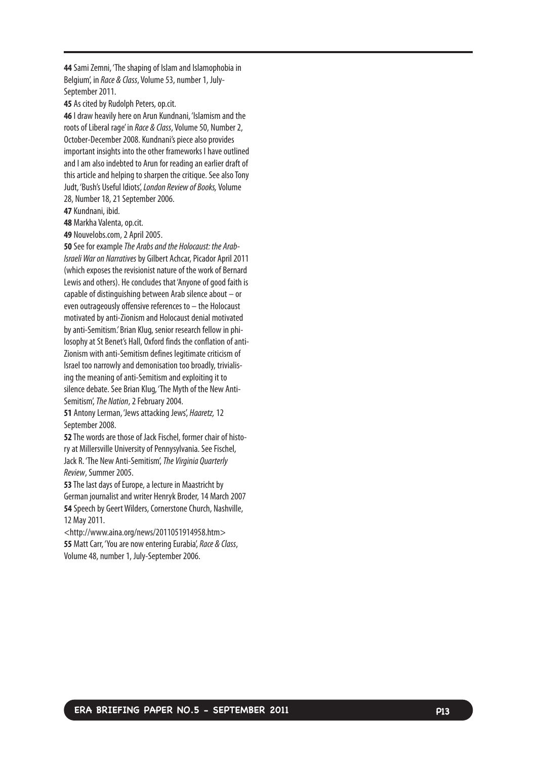**44** Sami Zemni, 'The shaping of Islam and Islamophobia in Belgium', in Race & Class, Volume 53, number 1, July-September 2011.

**45** As cited by Rudolph Peters, op.cit.

**46** I draw heavily here on Arun Kundnani, 'Islamism and the roots of Liberal rage' in Race & Class, Volume 50, Number 2, October-December 2008. Kundnani's piece also provides important insights into the other frameworks I have outlined and I am also indebted to Arun for reading an earlier draft of this article and helping to sharpen the critique. See also Tony Judt, 'Bush's Useful Idiots', London Review of Books, Volume 28, Number 18, 21 September 2006.

**47** Kundnani, ibid.

**48** Markha Valenta, op.cit.

**49** Nouvelobs.com, 2 April 2005.

**50** See for example The Arabs and the Holocaust: the Arab-Israeli War on Narrativesby Gilbert Achcar, Picador April 2011 (which exposes the revisionist nature of the work of Bernard Lewis and others). He concludes that 'Anyone of good faith is capable of distinguishing between Arab silence about – or even outrageously offensive references to – the Holocaust motivated by anti-Zionism and Holocaust denial motivated byanti-Semitism.'Brian Klug, senior research fellow in philosophy at St Benet's Hall, Oxford finds the conflation of anti-Zionism with anti-Semitism defines legitimate criticism of Israel too narrowly and demonisation too broadly, trivialising the meaning of anti-Semitism and exploiting it to silence debate. See Brian Klug, 'The Myth of the New Anti-Semitism', The Nation, 2 February 2004.

**51** Antony Lerman, 'Jews attacking Jews', Haaretz,12 September 2008.

**52** The words are those of Jack Fischel, former chair of history at Millersville University of Pennysylvania. See Fischel, Jack R. 'The New Anti-Semitism', The Virginia Quarterly Review, Summer 2005.

**53** The last days of Europe, a lecture in Maastricht by German journalist and writer Henryk Broder, 14 March 2007 **54** Speech by Geert Wilders, Cornerstone Church, Nashville, 12 May2011.

<http://www.aina.org/news/2011051914958.htm> **55** Matt Carr, 'You are now entering Eurabia', Race & Class, Volume 48, number 1, July-September 2006.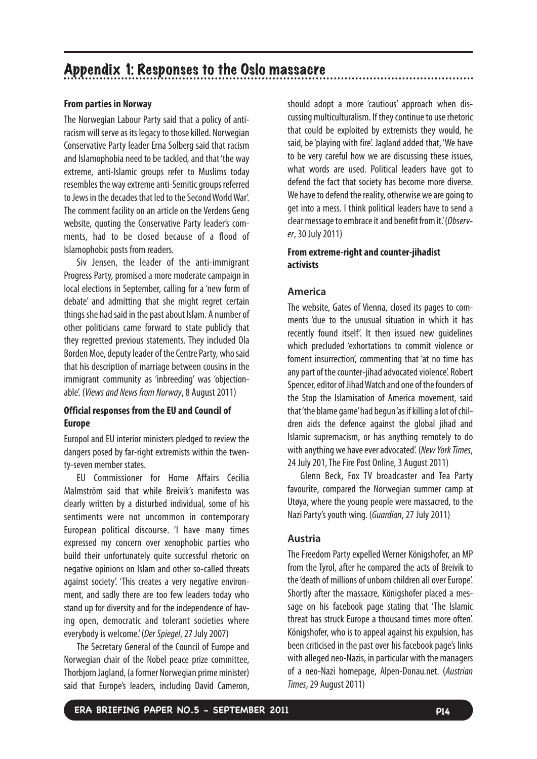# **From parties in Norway**

The Norwegian Labour Party said that a policy of antiracism will serve as its legacy to those killed. Norwegian Conservative Party leader Erna Solberg said that racism and Islamophobia need to be tackled, and that 'the way extreme, anti-Islamic groups refer to Muslims today resembles the way extreme anti-Semitic groups referred to Jews in the decades that led to the Second World War'. The comment facility on an article on the Verdens Geng website, quoting the Conservative Party leader's comments, had to be closed because of a flood of Islamophobic posts from readers.

Siv Jensen, the leader of the anti-immigrant Progress Party, promised a more moderate campaign in local elections in September, calling for a 'new form of debate' and admitting that she might regret certain things she had said in the past about Islam. A number of other politicians came forward to state publicly that they regretted previous statements. They included Ola Borden Moe, deputy leader of the Centre Party, who said that his description of marriage between cousins in the immigrant community as 'inbreeding' was 'objectionable'. (Views and News from Norway,8 August 2011)

# **Official responses from the EU and Council of Europe**

Europol and EU interior ministers pledged to review the dangers posed by far-right extremists within the twenty-seven member states.

EU Commissioner for Home Affairs Cecilia Malmström said that while Breivik's manifesto was clearly written by a disturbed individual, some of his sentiments were not uncommon in contemporary European political discourse. 'I have many times expressed my concern over xenophobic parties who build their unfortunately quite successful rhetoric on negative opinions on Islam and other so-called threats against society'. 'This creates a very negative environment, and sadly there are too few leaders today who stand up for diversity and for the independence of having open, democratic and tolerant societies where everybody is welcome.' (Der Spiegel,27 July 2007)

The Secretary General of the Council of Europe and Norwegian chair of the Nobel peace prize committee, Thorbjorn Jagland, (a former Norwegian prime minister) said that Europe's leaders, including David Cameron, should adopt a more 'cautious' approach when discussing multiculturalism. If they continue to use rhetoric that could be exploited by extremists they would, he said, be 'playing with fire'. Jagland added that, 'We have to be very careful how we are discussing these issues, what words are used. Political leaders have got to defend the fact that society has become more diverse. We have to defend the reality, otherwise we are going to get into a mess. I think political leaders have to send a clear message to embrace it and benefit from it.'(Observer,30 July 2011)

# **From extreme-right and counter-jihadist activists**

# **America**

The website, Gates of Vienna, closed its pages to comments 'due to the unusual situation in which it has recently found itself'. It then issued new guidelines which precluded 'exhortations to commit violence or foment insurrection', commenting that 'at no time has any part of the counter-jihad advocated violence'. Robert Spencer, editor of Jihad Watch and one of the founders of the Stop the Islamisation of America movement, said that 'the blame game'had begun 'as if killing a lot of children aids the defence against the global jihad and Islamic supremacism, or has anything remotely to do with anything we have ever advocated'. (New York Times, 24 July 201, The Fire Post Online, 3 August 2011)

Glenn Beck, Fox TV broadcaster and Tea Party favourite, compared the Norwegian summer camp at Utøya, where the young people were massacred, to the Nazi Party's youth wing. (Guardian,27 July 2011)

# **Austria**

The Freedom Party expelled Werner Königshofer, an MP from the Tyrol, after he compared the acts of Breivik to the 'death of millions of unborn children all over Europe'. Shortly after the massacre, Königshofer placed a message on his facebook page stating that 'The Islamic threat has struck Europe a thousand times more often'. Königshofer, who is to appeal against his expulsion, has been criticised in the past over his facebook page's links with alleged neo-Nazis, in particular with the managers of a neo-Nazi homepage, Alpen-Donau.net. (Austrian Times,29 August 2011)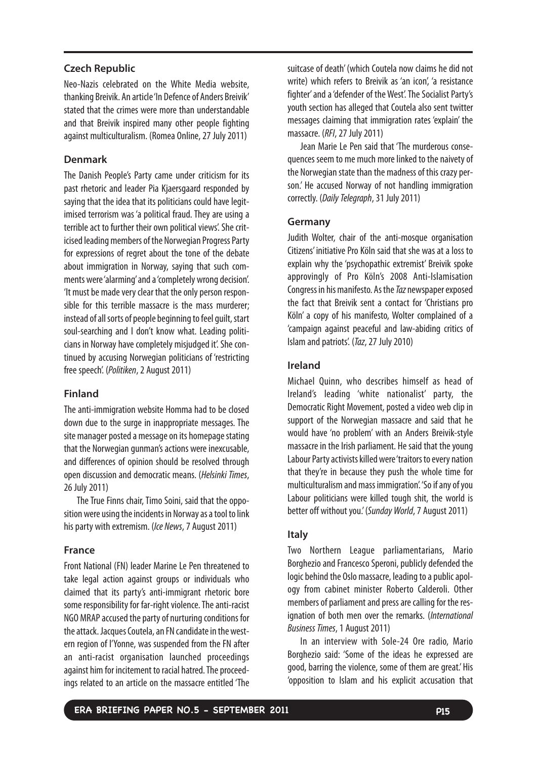#### **Czech Republic**

Neo-Nazis celebrated on the White Media website, thanking Breivik. An article 'In Defence of Anders Breivik' stated that the crimes were more than understandable and that Breivik inspired many other people fighting against multiculturalism. (Romea Online, 27 July 2011)

#### **Denmark**

The Danish People's Party came under criticism for its past rhetoric and leader Pia Kjaersgaard responded by saying that the idea that its politicians could have legitimised terrorism was 'a political fraud. They are using a terrible act to further their own political views'. She criticised leading members of the Norwegian Progress Party for expressions of regret about the tone of the debate about immigration in Norway, saying that such comments were 'alarming' and a 'completely wrong decision'. 'It must be made very clear that the only person responsible for this terrible massacre is the mass murderer; instead of all sorts of people beginning to feel guilt, start soul-searching and I don't know what. Leading politicians in Norway have completely misjudged it'. She continued by accusing Norwegian politicians of 'restricting free speech'. (Politiken, 2 August 2011)

# **Finland**

The anti-immigration website Homma had to be closed down due to the surge in inappropriate messages. The site manager posted a message on its homepage stating that the Norwegian gunman's actions were inexcusable, and differences of opinion should be resolved through open discussion and democratic means. (Helsinki Times, 26 July 2011)

The True Finns chair, Timo Soini, said that the opposition were using the incidents in Norway as a tool to link his party with extremism. (Ice News, 7 August 2011)

#### **France**

Front National (FN) leader Marine Le Pen threatened to take legal action against groups or individuals who claimed that its party's anti-immigrant rhetoric bore some responsibility for far-right violence. The anti-racist NGO MRAP accused the party of nurturing conditions for the attack. Jacques Coutela, an FN candidate in the western region of l'Yonne, was suspended from the FN after an anti-racist organisation launched proceedings against him for incitement to racial hatred. The proceedings related to an article on the massacre entitled 'The suitcase of death' (which Coutela now claims he did not write) which refers to Breivik as 'an icon', 'a resistance fighter' and a 'defender of the West'. The Socialist Party's youth section has alleged that Coutela also sent twitter messages claiming that immigration rates 'explain' the massacre. (RFI,27 July 2011)

Jean Marie Le Pen said that 'The murderous consequences seem to me much more linked to the naivety of the Norwegian state than the madness of this crazy person.' He accused Norway of not handling immigration correctly. (Daily Telegraph,31 July 2011)

# **Germany**

Judith Wolter, chair of the anti-mosque organisation Citizens' initiative Pro Köln said that she was at a loss to explain why the 'psychopathic extremist' Breivik spoke approvingly of Pro Köln's 2008 Anti-Islamisation Congress in his manifesto. As the Taz newspaper exposed the fact that Breivik sent a contact for 'Christians pro Köln' a copy of his manifesto, Wolter complained of a 'campaign against peaceful and law-abiding critics of Islam and patriots'. (Taz,27 July 2010)

#### **Ireland**

Michael Quinn, who describes himself as head of Ireland's leading 'white nationalist' party, the Democratic Right Movement, posted a video web clip in support of the Norwegian massacre and said that he would have 'no problem' with an Anders Breivik-style massacre in the Irish parliament. He said that the young Labour Party activists killed were 'traitors to every nation that they're in because they push the whole time for multiculturalism and mass immigration'. 'So if any of you Labour politicians were killed tough shit, the world is better off without you.' (Sunday World, 7 August 2011)

#### **Italy**

Two Northern League parliamentarians, Mario Borghezio and Francesco Speroni, publicly defended the logic behind the Oslo massacre, leading to a public apology from cabinet minister Roberto Calderoli. Other members of parliament and press are calling for the resignation of both men over the remarks. (International Business Times,1 August 2011)

In an interview with Sole-24 Ore radio, Mario Borghezio said: 'Some of the ideas he expressed are good, barring the violence, some of them are great.' His 'opposition to Islam and his explicit accusation that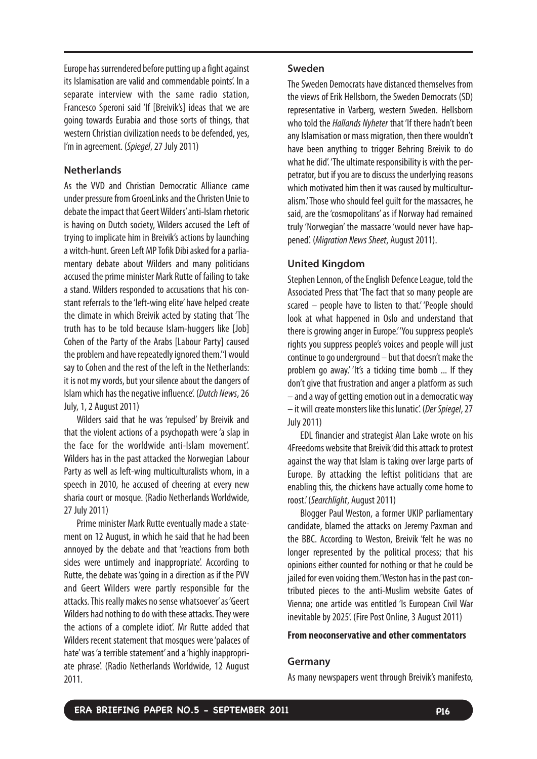Europe has surrendered before putting up a fight against its Islamisation are valid and commendable points'. In a separate interview with the same radio station, Francesco Speroni said 'If [Breivik's] ideas that we are going towards Eurabia and those sorts of things, that western Christian civilization needs to be defended, yes, I'm in agreement. (Spiegel, 27 July 2011)

#### **Netherlands**

As the VVD and Christian Democratic Alliance came under pressure from GroenLinks and the Christen Unie to debate the impact that Geert Wilders'anti-Islam rhetoric is having on Dutch society, Wilders accused the Left of trying to implicate him in Breivik's actions by launching a witch-hunt. Green Left MP Tofik Dibi asked for a parliamentary debate about Wilders and many politicians accused the prime minister Mark Rutte of failing to take a stand. Wilders responded to accusations that his constant referrals to the 'left-wing elite' have helped create the climate in which Breivik acted by stating that 'The truth has to be told because Islam-huggers like [Job] Cohen of the Party of the Arabs [Labour Party] caused the problem and have repeatedly ignored them."I would say to Cohen and the rest of the left in the Netherlands: it is not my words, but your silence about the dangers of Islam which has the negative influence'. (Dutch News, 26 July, 1, 2 August 2011)

Wilders said that he was 'repulsed' by Breivik and that the violent actions of a psychopath were 'a slap in the face for the worldwide anti-Islam movement'. Wilders has in the past attacked the Norwegian Labour Party as well as left-wing multiculturalists whom, in a speech in 2010, he accused of cheering at every new sharia court or mosque. (Radio Netherlands Worldwide, 27 July 2011)

Prime minister Mark Rutte eventually made a statement on 12 August, in which he said that he had been annoyed by the debate and that 'reactions from both sides were untimely and inappropriate'. According to Rutte, the debate was 'going in a direction as if the PVV and Geert Wilders were partly responsible for the attacks. This really makes no sense whatsoever' as 'Geert Wilders had nothing to do with these attacks. They were the actions of a complete idiot'. Mr Rutte added that Wilders recent statement that mosques were 'palaces of hate' was 'a terrible statement' and a 'highly inappropriate phrase'. (Radio Netherlands Worldwide, 12 August 2011.

#### **Sweden**

The Sweden Democrats have distanced themselves from the views of Erik Hellsborn, the Sweden Democrats (SD) representative in Varberg, western Sweden. Hellsborn who told the *Hallands Nyheter* that 'If there hadn't been any Islamisation or mass migration, then there wouldn't have been anything to trigger Behring Breivik to do what he did'. 'The ultimate responsibility is with the perpetrator, but if you are to discuss the underlying reasons which motivated him then it was caused by multiculturalism.'Those who should feel guilt for the massacres, he said, are the 'cosmopolitans' as if Norway had remained truly 'Norwegian' the massacre 'would never have happened'. (Migration News Sheet, August 2011).

#### **United Kingdom**

Stephen Lennon, of the English Defence League, told the Associated Press that 'The fact that so many people are scared – people have to listen to that.' 'People should look at what happened in Oslo and understand that there is growing anger in Europe.''You suppress people's rights you suppress people's voices and people will just continue to go underground – but that doesn't make the problem go away.' 'It's a ticking time bomb ... If they don't give that frustration and anger a platform as such – and a way of getting emotion out in a democratic way – it will create monsters like this lunatic'. (Der Spiegel, 27 July 2011)

EDL financier and strategist Alan Lake wrote on his 4Freedoms website that Breivik 'did this attack to protest against the way that Islam is taking over large parts of Europe. By attacking the leftist politicians that are enabling this, the chickens have actually come home to roost.' (Searchlight, August 2011)

Blogger Paul Weston, a former UKIP parliamentary candidate, blamed the attacks on Jeremy Paxman and the BBC. According to Weston, Breivik 'felt he was no longer represented by the political process; that his opinions either counted for nothing or that he could be jailed for even voicing them.'Weston has in the past contributed pieces to the anti-Muslim website Gates of Vienna; one article was entitled 'Is European Civil War inevitable by 2025'. (Fire Post Online, 3 August 2011)

#### **From neoconservative and other commentators**

#### **Germany**

As many newspapers went through Breivik's manifesto,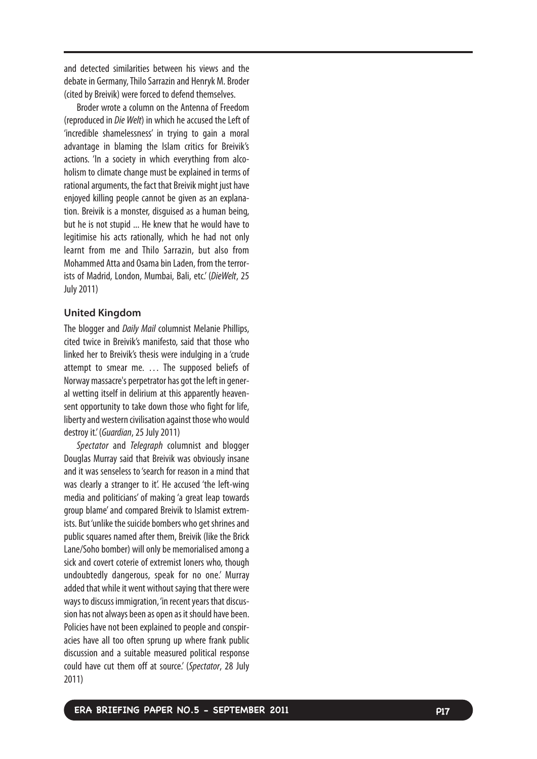and detected similarities between his views and the debate in Germany, Thilo Sarrazin and Henryk M. Broder (cited by Breivik) were forced to defend themselves.

Broder wrote a column on the Antenna of Freedom (reproduced in Die Welt) in which he accused the Left of 'incredible shamelessness' in trying to gain a moral advantage in blaming the Islam critics for Breivik's actions. 'In a society in which everything from alcoholism to climate change must be explained in terms of rational arguments, the fact that Breivik might just have enjoyed killing people cannot be given as an explanation. Breivik is a monster, disguised as a human being, but he is not stupid ... He knew that he would have to legitimise his acts rationally, which he had not only learnt from me and Thilo Sarrazin, but also from Mohammed Atta and Osama bin Laden, from the terrorists of Madrid, London, Mumbai, Bali, etc.' (DieWelt, 25 July 2011)

#### **United Kingdom**

The blogger and Daily Mail columnist Melanie Phillips, cited twic e in B reivik's manifesto, said that those who linked her to Breivik's thesis were indulging in a 'crude attempt to smear me. … The supposed beliefs of Norway massacre's perpetrator has got the left in general wetting itself in delirium at this apparently heavensent opportunity to take down those who fight for life, liberty and western civilisation against those who would destroy it.' (Guardian, 25 July 2011)

Spectator and Telegraph columnist and blogger Douglas Murray said that Breivik was obviously insane and it was senseless to 'search for reason in a mind that was clearly a stranger to it'. He accused 'the left-wing media and politicians' of making 'a great leap towards group blame' and compared Breivik to Islamist extremists. But 'unlike the suicide bombers who get shrines and public squares named after them, Breivik (like the Brick Lane/Soho bomber) will only be memorialised among a sick and c o vert coterie of extremist loners who, though undoubtedly dangerous, speak for no one.' Murray added that while it went without saying that there were ways to discuss immigration, 'in recent years that discussion has not always been as open as it should have been. Policies have not been explained to people and conspiracies have all too often sprung up where frank public discussion and a suitable measured political response could have cut them off at source.' (Spectator, 28 July 2011)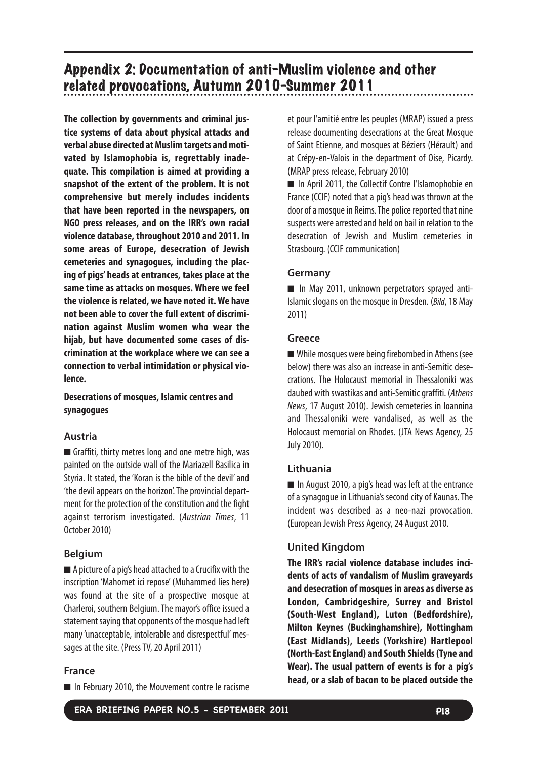# Appendix 2: Documentation of anti-Muslim violence and other related provocations, Autumn 2010-Summer 2011

**The collection by governments and criminal justice systems of data about physical attacks and verbal abuse directed at Muslim targets and motivated by Islamophobia is, regrettably inadequate. This compilation is aimed at providing a snapshot of the extent of the problem. It is not comprehensive but merely includes incidents that have been reported in the newspapers, on NGO press releases, and on the IRR's own racial violence database, throughout 2010 and 2011. In some areas of Europe, desecration of Jewish cemeteries and synagogues, including the placing of pigs' heads at entrances, takes place at the same time as attacks on mosques. Where we feel the violence is related, we have noted it. We have not been able to cover the full extent of discrimination against Muslim women who wear the hijab, but have documented some cases of discrimination at the workplace where we can see a connection to verbal intimidation or physical violence.**

# **Desecrations of mosques, Islamic centres and synagogues**

# **Austria**

■ Graffiti, thirty metres long and one metre high, was painted on the outside wall of the Mariazell Basilica in Styria. It stated, the 'Koran is the bible of the devil' and 'the devil appears on the horizon'. The provincial department for the protection of the constitution and the fight against terrorism investigated. (Austrian Times, 11 October 2010)

# **Belgium**

■ A picture of a pig's head attached to a Crucifix with the inscription 'Mahomet ici repose' (Muhammed lies here) was found at the site of a prospective mosque at Charleroi, southern Belgium. The mayor's office issued a statement saying that opponents of the mosque had left many'unacceptable, intolerable and disrespectful' messages at the site. (Press TV, 20 April 2011)

# **France**

■ In February 2010, the Mouvement contre le racisme

et pour l'amitié entre les peuples (MRAP) issued a press release documenting desecrations at the Great Mosque of Saint Etienne, and mosques at Béziers (Hérault) and at Crépy-en-Valois in the department of Oise, Picardy. (MRAP press release, February 2010)

■ In April 2011, the Collectif Contre l'Islamophobie en France (CCIF) noted that a pig's head was thrown at the door of a mosque in Reims. The police reported that nine suspects were arrested and held on bail in relation to the desecration of Jewish and Muslim cemeteries in Strasbourg. (CCIF communication)

# **Germany**

■ In May 2011, unknown perpetrators sprayed anti-Islamic slogans on the mosque in Dresden. (Bild,18 May 2011)

# **Greece**

■ While mosques were being firebombed in Athens (see below) there was also an increase in anti-Semitic desecrations. The Holocaust memorial in Thessaloniki was daubed with swastikas and anti-Semitic graffiti. (Athens News, 17 August 2010). Jewish cemeteries in Ioannina and Thessaloniki were vandalised, as well as the Holocaust memorial on Rhodes. (JTA News Agency, 25 July 2010).

# **Lithuania**

■ In August 2010, a pig's head was left at the entrance of a synagogue in Lithuania's second city of Kaunas. The incident was described as a neo-nazi provocation. (European Jewish Press Agency, 24 August 2010.

# **United Kingdom**

**The IRR's racial violence database includes incidents of acts of vandalism of Muslim graveyards and desecration of mosques in areas as diverse as London, Cambridgeshire, Surrey and Bristol (South-West England), Luton (Bedfordshire), Milton Keynes (Buckinghamshire), Nottingham (East Midlands), Leeds (Yorkshire) Hartlepool (North-East England) and South Shields (Tyne and Wear). The usual pattern of events is for a pig's head, or a slab of bacon to be placed outside the**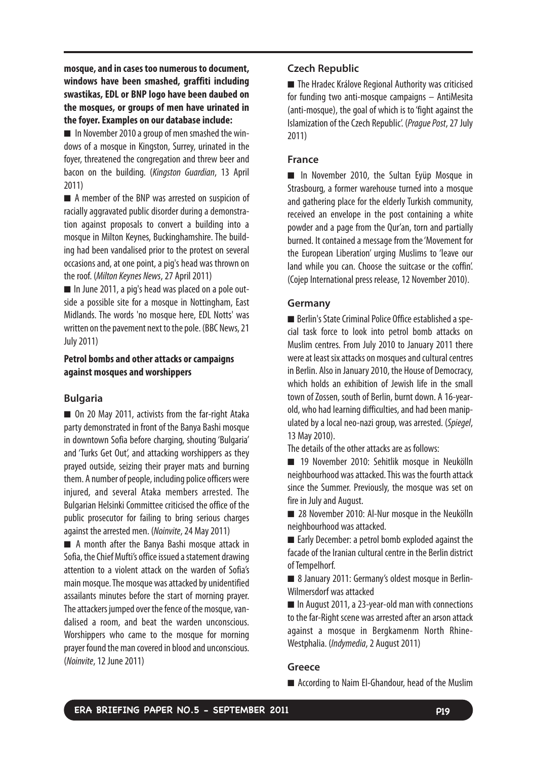**mosque, and in cases too numerous to document, windows have been smashed, graffiti including swastikas, EDL or BNP logo have been daubed on the mosques, or groups of men have urinated in the foyer. Examples on our database include:**

■ In November 2010 a group of men smashed the windows of a mosque in Kingston, Surrey, urinated in the foyer, threatened the congregation and threw beer and bacon on the building. (Kingston Guardian, 13 April 2011)

■ A member of the BNP was arrested on suspicion of racially aggravated public disorder during a demonstration against proposals to convert a building into a mosque in Milton Keynes, Buckinghamshire. The building had been vandalised prior to the protest on several occasions and, at one point, a pig's head was thrown on the roof. (Milton Keynes News,27 April 2011)

■ In June 2011, a pig's head was placed on a pole outside a possible site for a mosque in Nottingham, East Midlands. The words 'no mosque here, EDL Notts' was written on the pavement next to the pole. (BBC News, 21 July 2011)

# **Petrol bombs and other attacks or campaigns against mosques and worshippers**

# **Bulgaria**

■ On 20 May 2011, activists from the far-right Ataka party demonstrated in front of the Banya Bashi mosque in downtown Sofia before charging, shouting 'Bulgaria' and 'Turks Get Out', and attacking worshippers as they prayed outside, seizing their prayer mats and burning them. A number of people, including police officers were injured, and several Ataka members arrested. The Bulgarian Helsinki Committee criticised the office of the public prosecutor for failing to bring serious charges against the arrested men. (Noinvite,24 May 2011)

■ A month after the Banya Bashi mosque attack in Sofia, the Chief Mufti's office issued a statement drawing attention to a violent attack on the warden of Sofia's main mosque.The mosque was attacked by unidentified assailants minutes before the start of morning prayer. The attackers jumped over the fence of the mosque, vandalised a room, and beat the warden unconscious. Worshippers who came to the mosque for morning prayer found the man covered in blood and unconscious. (Noinvite, 12 June 2011)

# **Czech Republic**

■ The Hradec Králove Regional Authority was criticised for funding two anti-mosque campaigns – AntiMesita (anti-mosque), the goal of which is to 'fight against the Islamization of the Czech Republic'. (Prague Post,27 July 2011)

# **France**

■ In November 2010, the Sultan Eyüp Mosque in Strasbourg, a former warehouse turned into a mosque and gathering place for the elderly Turkish community, received an envelope in the post containing a white powder and a page from the Qur'an, torn and partially burned. It contained a message from the 'Movement for the European Liberation' urging Muslims to 'leave our land while you can. Choose the suitcase or the coffin'. (Cojep International press release, 12 November 2010).

#### **Germany**

■ Berlin's State Criminal Police Office established a special task force to look into petrol bomb attacks on Muslim centres. From July 2010 to January 2011 there were at least six attacks on mosques and cultural centres in Berlin. Also in January 2010, the House of Democracy, which holds an exhibition of Jewish life in the small town of Zossen, south of Berlin, burnt down. A 16-yearold, who had learning difficulties, and had been manipulated by a local neo-nazi group, was arrested. (Spiegel, 13 May 2010).

The details of the other attacks are as follows:

■ 19 November 2010: Sehitlik mosque in Neukölln neighbourhood was attacked.This was the fourth attack since the Summer. Previously, the mosque was set on fire in July and August.

■ 28 November 2010: Al-Nur mosque in the Neukölln neighbourhood was attacked.

■ Early December: a petrol bomb exploded against the facade of the Iranian cultural centre in the Berlin district of Tempelhorf.

■ 8 January 2011: Germany's oldest mosque in Berlin-Wilmersdorf was attacked

■ In August 2011, a 23-year-old man with connections to the far-Right scene was arrested after an arson attack against a mosque in Bergkamenm North Rhine-Westphalia. (Indymedia,2 August 2011)

# **Greece**

■ According to Naim El-Ghandour, head of the Muslim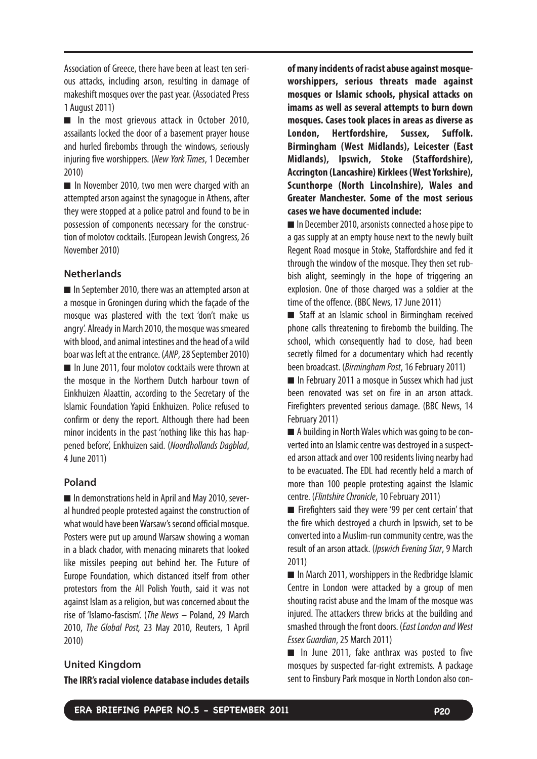Association of Greece, there have been at least ten serious attacks, including arson, resulting in damage of makeshift mosques over the past year. (Associated Press 1 August 2011)

■ In the most grievous attack in October 2010, assailants locked the door of a basement prayer house and hurled firebombs through the windows, seriously injuring five worshippers. (New York Times, 1 December 2010)

■ In November 2010, two men were charged with an attempted arson against the synagogue in Athens, after they were stopped at a police patrol and found to be in possession of components necessary for the construction of molotov cocktails. (European Jewish Congress, 26 November 2010)

# **Netherlands**

■ In September 2010, there was an attempted arson at a mosque in Groningen during which the façade of the mosque was plastered with the text 'don't make us angry'. Already in March 2010, the mosque was smeared with blood, and animal intestines and the head of a wild boar was left at the entrance. (ANP, 28 September 2010) ■ In June 2011, four molotov cocktails were thrown at the mosque in the Northern Dutch harbour town of Einkhuizen Alaattin, according to the Secretary of the Islamic Foundation Yapici Enkhuizen. Police refused to confirm or deny the report. Although there had been minor incidents in the past 'nothing like this has happened before', Enkhuizen said. (Noordhollands Dagblad, 4June 2011)

# **Poland**

■ In demonstrations held in April and May 2010, several hundred people protested against the construction of what would have been Warsaw's second official mosque. Posters were put up around Warsaw showing a woman in a black chador, with menacing minarets that looked like missiles peeping out behind her. The Future of Europe Foundation, which distanced itself from other protestors from the All Polish Youth, said it was not against Islam as a religion, but was concerned about the rise of 'Islamo-fascism'. (The News – Poland, 29 March 2010, The Global Post, 23 May 2010, Reuters, 1 April 2010)

#### **United Kingdom**

**The IRR's racial violence database includes details**

**of many incidents of racist abuse against mosqueworshippers, serious threats made against mosques or Islamic schools, physical attacks on imams as well as several attempts to burn down mosques. Cases took places in areas as diverse as London, Hertfordshire, Sussex, Suffolk. Birmingham (West Midlands), Leicester (East Midlands), Ipswich, Stoke (Staffordshire), Accrington (Lancashire) Kirklees (West Yorkshire), Scunthorpe (North Lincolnshire), Wales and Greater Manchester. Some of the most serious cases we have documented include:**

■ In December 2010, arsonists connected a hose pipe to agas supply at an empty house next to the newly built Regent Road mosque in Stoke, Staffordshire and fed it through the window of the mosque. They then set rubbish alight, seemingly in the hope of triggering an explosion. One of those charged was a soldier at the time of the offence. (BBC News, 17 June 2011)

■ Staff at an Islamic school in Birmingham received phone calls threatening to firebomb the building. The school, which consequently had to close, had been secretly filmed for a documentary which had recently been broadcast. (Birmingham Post,16 February 2011)

■ In February 2011 a mosque in Sussex which had just been renovated was set on fire in an arson attack. Firefighters prevented serious damage. (BBC News, 14 February 2011)

■ A building in North Wales which was going to be converted into an Islamic centre was destroyed in a suspected arson attack and over 100 residents living nearby had to be evacuated. The EDL had recently held a march of more than 100 people protesting against the Islamic centre. (Flintshire Chronicle,10 February 2011)

■ Firefighters said they were '99 per cent certain' that the fire which destroyed a church in Ipswich, set to be converted into a Muslim-run community centre, was the result of an arson attack. (*Ipswich Evening Star*, 9 March 2011)

■ In March 2011, worshippers in the Redbridge Islamic Centre in London were attacked by a group of men shouting racist abuse and the Imam of the mosque was injured. The attackers threw bricks at the building and smashed through the front doors. (East London and West Essex Guardian,25 March 2011)

■ In June 2011, fake anthrax was posted to five mosques by suspected far-right extremists. A package sent to Finsbury Park mosque in North London also con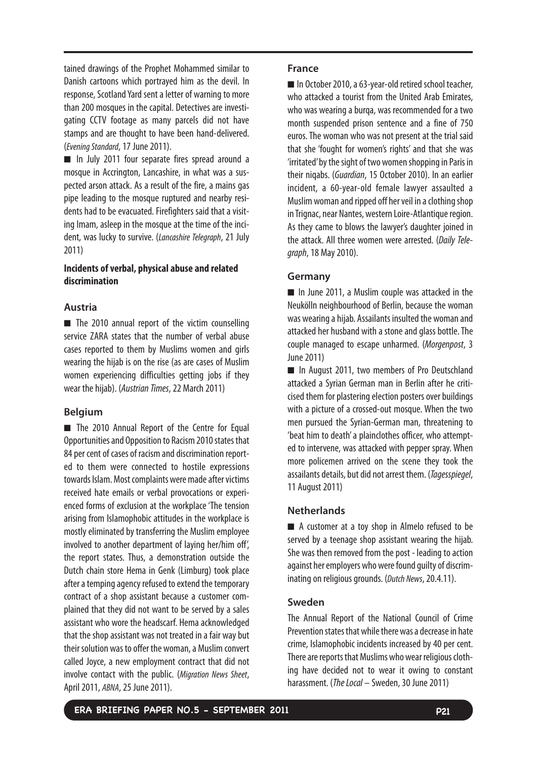tained drawings of the Prophet Mohammed similar to Danish cartoons which portrayed him as the devil. In response, Scotland Yard sent a letter of warning to more than 200 mosques in the capital. Detectives are investigating CCTV footage as many parcels did not have stamps and are thought to have been hand-delivered. (Evening Standard,17 June 2011).

■ In July 2011 four separate fires spread around a mosque in Accrington, Lancashire, in what was a suspected arson attack. As a result of the fire, a mains gas pipe leading to the mosque ruptured and nearby residents had to be evacuated. Firefighters said that a visiting Imam, asleep in the mosque at the time of the incident, was lucky to survive. (Lancashire Telegraph, 21 July 2011)

# **Incidents of verbal, physical abuse and related discrimination**

# **Austria**

■ The 2010 annual report of the victim counselling service ZARA states that the number of verbal abuse cases reported to them by Muslims women and girls wearing the hijab is on the rise (as are cases of Muslim women experiencing difficulties getting jobs if they wear the hijab). (Austrian Times,22 March 2011)

# **Belgium**

■ The 2010 Annual Report of the Centre for Equal Opportunities and Opposition to Racism 2010 states that 84 per cent of cases of racism and discrimination reported to them were connected to hostile expressions towards Islam. Most complaints were made after victims received hate emails or verbal provocations or experienced forms of exclusion at the workplace 'The tension arising from Islamophobic attitudes in the workplace is mostly eliminated by transferring the Muslim employee involved to another department of laying her/him off', the report states. Thus, a demonstration outside the Dutch chain store Hema in Genk (Limburg) took place after a temping agency refused to extend the temporary contract of a shop assistant because a customer complained that they did not want to be served by a sales assistant who wore the headscarf. Hema acknowledged that the shop assistant was not treated in a fair way but their solution was to offer the woman, a Muslim convert called Joyce, a new employment contract that did not involve contact with the public. (Migration News Sheet, April 2011, ABNA,25 June 2011).

#### **France**

■ In October 2010, a 63-year-old retired school teacher, who attacked a tourist from the United Arab Emirates, who was wearing a burqa, was recommended for a two month suspended prison sentence and a fine of 750 euros. The woman who was not present at the trial said that she 'fought for women's rights' and that she was 'irritated'by the sight of two women shopping in Paris in their niqabs. (Guardian, 15 October 2010). In an earlier incident, a 60-year-old female lawyer assaulted a Muslim woman and ripped off her veil in a clothing shop in Trignac, near Nantes, western Loire-Atlantique region. As they came to blows the lawyer's daughter joined in the attack. All three women were arrested. (Daily Telegraph,18 May 2010).

# **Germany**

■ In June 2011, a Muslim couple was attacked in the Neukölln neighbourhood of Berlin, because the woman was wearing a hijab. Assailants insulted the woman and attacked her husband with a stone and glass bottle. The couple managed to escape unharmed. (Morgenpost, 3 June 2011)

■ In August 2011, two members of Pro Deutschland attacked a Syrian German man in Berlin after he criticised them for plastering election posters over buildings with a picture of a crossed-out mosque. When the two men pursued the Syrian-German man, threatening to 'beat him to death' a plainclothes officer, who attempted to intervene, was attacked with pepper spray. When more policemen arrived on the scene they took the assailants details, but did not arrest them. (Tagesspiegel, 11 August 2011)

# **Netherlands**

■ A customer at a toy shop in Almelo refused to be served by a teenage shop assistant wearing the hijab. She was then removed from the post - leading to action against her employers who were found guilty of discriminating on religious grounds. (Dutch News, 20.4.11).

# **Sweden**

The Annual Report of the National Council of Crime Prevention states that while there was a decrease in hate crime, Islamophobic incidents increased by 40 per cent. There are reports that Muslims who wear religious clothing have decided not to wear it owing to constant harassment. (*The Local –* Sweden, 30 June 2011)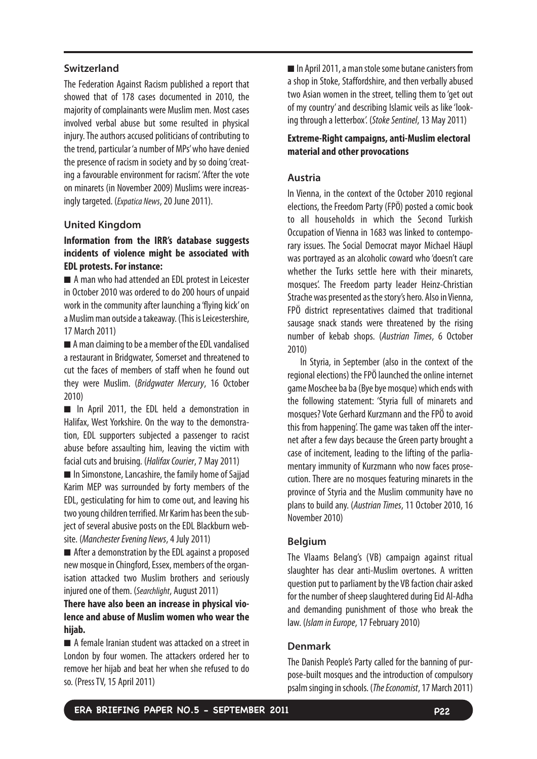#### **Switzerland**

The Federation Against Racism published a report that showed that of 178 cases documented in 2010, the majority of complainants were Muslim men. Most cases involved verbal abuse but some resulted in physical injury. The authors accused politicians of contributing to the trend, particular 'a number of MPs' who have denied the presence of racism in society and by so doing 'creating a favourable environment for racism'. 'After the vote on minarets (in November 2009) Muslims were increasingly targeted. (Expatica News, 20 June 2011).

#### **United Kingdom**

# **Information from the IRR's database suggests incidents of violence might be associated with EDL protests. For instance:**

■ A man who had attended an EDL protest in Leicester in October 2010 was ordered to do 200 hours of unpaid work in the community after launching a 'flying kick' on aMuslim man outside a takeaway. (This is Leicestershire, 17 March 2011)

■ A man claiming to be a member of the EDL vandalised a restaurant in Bridgwater, Somerset and threatened to cut the faces of members of staff when he found out they were Muslim. (Bridgwater Mercury, 16 October 2010)

■ In April 2011, the EDL held a demonstration in Halifax, West Yorkshire. On the way to the demonstration, EDL supporters subjected a passenger to racist abuse before assaulting him, leaving the victim with facial cuts and bruising. (Halifax Courier,7 May 2011)

■ In Simonstone, Lancashire, the family home of Sajjad Karim MEP was surrounded by forty members of the EDL, gesticulating for him to come out, and leaving his two young children terrified. Mr Karim has been the subject of several abusive posts on the EDL Blackburn website. (Manchester Evening News, 4 July 2011)

■ After a demonstration by the EDL against a proposed new mosque in Chingford, Essex, members of the organisation attacked two Muslim brothers and seriously injured one of them. (Searchlight, August 2011)

# **There have also been an increase in physical violence and abuse of Muslim women who wear the hijab.**

■ A female Iranian student was attacked on a street in London by four women. The attackers ordered her to remove her hijab and beat her when she refused to do so. (Press TV, 15 April 2011)

■ In April 2011, a man stole some butane canisters from a shop in Stoke, Staffordshire, and then verbally abused two Asian women in the street, telling them to 'get out of my country' and describing Islamic veils as like 'looking through a letterbox'. (Stoke Sentinel,13 May 2011)

# **Extreme-Right campaigns, anti-Muslim electoral material and other provocations**

# **Austria**

In Vienna, in the context of the October 2010 regional elections, the Freedom Party (FPÖ) posted a comic book to all households in which the Second Turkish Occupation of Vienna in 1683 was linked to contemporary issues. The Social Democrat mayor Michael Häupl was portrayed as an alcoholic coward who 'doesn't care whether the Turks settle here with their minarets, mosques'. The Freedom party leader Heinz-Christian Strache was presented as the story's hero. Also in Vienna, FPÖ district representatives claimed that traditional sausage snack stands were threatened by the rising number of kebab shops. (Austrian Times, 6 October 2010)

In Styria, in September (also in the context of the regional elections) the FPÖ launched the online internet game Moschee ba ba (Bye bye mosque) which ends with the following statement: 'Styria full of minarets and mosques? Vote Gerhard Kurzmann and the FPÖ to avoid this from happening'. The game was taken off the internet after a few days because the Green party brought a case of incitement, leading to the lifting of the parliamentary immunity of Kurzmann who now faces prosecution. There are no mosques featuring minarets in the province of Styria and the Muslim community have no plans to build any. (Austrian Times, 11 October 2010, 16 November 2010)

#### **Belgium**

The Vlaams Belang's (VB) campaign against ritual slaughter has clear anti-Muslim overtones. A written question put to parliament by the VB faction chair asked for the number of sheep slaughtered during Eid Al-Adha and demanding punishment of those who break the law. (Islam in Europe,17 February 2010)

#### **Denmark**

The Danish People's Party called for the banning of purpose-built mosques and the introduction of compulsory psalm singing in schools. (The Economist,17 March 2011)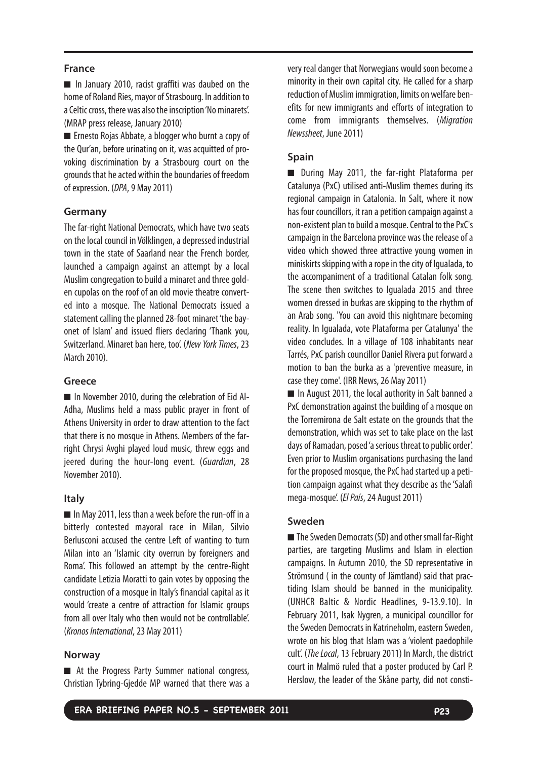#### **France**

■ In January 2010, racist graffiti was daubed on the home of Roland Ries, mayor of Strasbourg. In addition to aCeltic cross, there was also the inscription 'No minarets'. (MRAP press release, January 2010)

■ Ernesto Rojas Abbate, a blogger who burnt a copy of the Qur'an, before urinating on it, was acquitted of provoking discrimination by a Strasbourg court on the grounds that he acted within the boundaries of freedom of expression. (DPA, 9 May 2011)

#### **Germany**

The far-right National Democrats, which have two seats on the local council in Völklingen, a depressed industrial town in the state of Saarland near the French border, launched a campaign against an attempt by a local Muslim congregation to build a minaret and three golden cupolas on the roof of an old movie theatre converted into a mosque. The National Democrats issued a statement calling the planned 28-foot minaret 'the bayonet of Islam' and issued fliers declaring 'Thank you, Switzerland. Minaret ban here, too'. (New York Times,23 March 2010).

#### **Greece**

■ In November 2010, during the celebration of Eid Al-Adha, Muslims held a mass public prayer in front of Athens University in order to draw attention to the fact that there is no mosque in Athens. Members of the farright Chrysi Avghi played loud music, threw eggs and jeered during the hour-long event. (Guardian, 28 November 2010).

#### **Italy**

■ In May 2011, less than a week before the run-off in a bitterly contested mayoral race in Milan, Silvio Berlusconi accused the centre Left of wanting to turn Milan into an 'Islamic city overrun by foreigners and Roma'. This followed an attempt by the centre-Right candidate Letizia Moratti to gain votes by opposing the construction of a mosque in Italy's financial capital as it would 'create a centre of attraction for Islamic groups from all over Italy who then would not be controllable'. (Kronos International, 23 May 2011)

#### **Norway**

■ At the Progress Party Summer national congress, Christian Tybring-Gjedde MP warned that there was a very real danger that Norwegians would soon become a minority in their own capital city. He called for a sharp reduction of Muslim immigration, limits on welfare benefits for new immigrants and efforts of integration to come from immigrants themselves. (Migration Newssheet, June 2011)

#### **Spain**

■ During May 2011, the far-right Plataforma per Catalunya (PxC) utilised anti-Muslim themes during its regional campaign in Catalonia. In Salt, where it now has four councillors, it ran a petition campaign against a non-existent plan to build a mosque. Central to the PxC's campaign in the Barcelona province was the release of a video which showed three attractive young women in miniskirts skipping with a rope in the city of Igualada, to the accompaniment of a traditional Catalan folk song. The scene then switches to Igualada 2015 and three women dressed in burkas are skipping to the rhythm of an Arab song. 'You can avoid this nightmare becoming reality. In Igualada, vote Plataforma per Catalunya' the video concludes. In a village of 108 inhabitants near Tarrés, PxC parish councillor Daniel Rivera put forward a motion to ban the burka as a 'preventive measure, in case they come'. (IRR News, 26 May 2011)

■ In August 2011, the local authority in Salt banned a PxC demonstration against the building of a mosque on the Torremirona de Salt estate on the grounds that the demonstration, which was set to take place on the last days of Ramadan, posed 'a serious threat to public order'. Even prior to Muslim organisations purchasing the land for the proposed mosque, the PxC had started up a petition campaign against what they describe as the 'Salafi mega-mosque'. (El País, 24 August 2011)

#### **Sweden**

■ The Sweden Democrats (SD) and other small far-Right parties, are targeting Muslims and Islam in election campaigns. In Autumn 2010, the SD representative in Strömsund ( in the county of Jämtland) said that practiding Islam should be banned in the municipality. (UNHCR Baltic & Nordic Headlines, 9-13.9.10). In February 2011, Isak Nygren, a municipal councillor for the Sweden Democrats in Katrineholm, eastern Sweden, wrote on his blog that Islam was a 'violent paedophile cult'. (The Local,13 February 2011) In March, the district court in Malmö ruled that a poster produced by Carl P. Herslow, the leader of the Skåne party, did not consti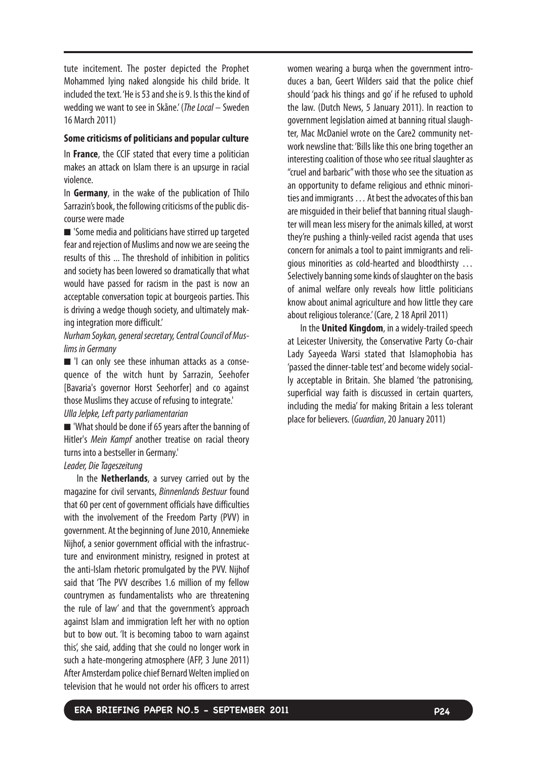tute incitement. The poster depicted the Prophet Mohammed lying naked alongside his child bride. It included the text. 'He is 53 and she is 9. Is this the kind of wedding we want to see in Skåne.' (The Local – Sweden 16 March 2011)

#### **Some criticisms of politicians and popular culture**

In **France**, the CCIF stated that every time a politician makes an attack on Islam there is an upsurge in racial violence.

In **Germany**, in the wake of the publication of Thilo Sarrazin's book, the following criticisms of the public discourse were made

■ 'Some media and politicians have stirred up targeted fear and rejection of Muslims and now we are seeing the results of this ... The threshold of inhibition in politics and society has been lowered so dramatically that what would have passed for racism in the past is now an acceptable conversation topic at bourgeois parties. This is driving a wedge though society, and ultimately making integration more difficult.'

# Nurham Soykan, general secretary, Central Council of Muslims in Germany

■ 'I can only see these inhuman attacks as a consequence of the witch hunt by Sarrazin, Seehofer [Bavaria's governor Horst Seehorfer] and co against those Muslims they accuse of refusing to integrate.'

# Ulla Jelpke, Left party parliamentarian

■ 'What should be done if 65 years after the banning of Hitler's Mein Kampf another treatise on racial theory turns into a bestseller in Germany.'

#### Leader, Die Tageszeitung

In the **Netherlands**, a survey carried out by the magazine for civil servants, Binnenlands Bestuur found that 60 per cent of government officials have difficulties with the involvement of the Freedom Party (PVV) in government. At the beginning of June 2010, Annemieke Nijhof, a senior government official with the infrastructure and environment ministry, resigned in protest at the anti-Islam rhetoric promulgated by the PVV. Nijhof said that 'The PVV describes 1.6 million of my fellow countrymen as fundamentalists who are threatening the rule of law' and that the government's approach against Islam and immigration left her with no option but to bow out. 'It is becoming taboo to warn against this', she said, adding that she could no longer work in such a hate-mongering atmosphere (AFP, 3 June 2011) After Amsterdam police chief Bernard Welten implied on television that he would not order his officers to arrest

women wearing a burqa when the government introduces a ban, Geert Wilders said that the police chief should 'pack his things and go' if he refused to uphold the law. (Dutch News, 5 January 2011). In reaction to government legislation aimed at banning ritual slaughter, Mac McDaniel wrote on the Care2 community network newsline that: 'Bills like this one bring together an interesting coalition of those who see ritual slaughter as "cruel and barbaric" with those who see the situation as an opportunity to defame religious and ethnic minorities and immigrants … At best the advocates of this ban are misguided in their belief that banning ritual slaughter will mean less misery for the animals killed, at worst they're pushing a thinly-veiled racist agenda that uses concern for animals a tool to paint immigrants and religious minorities as cold-hearted and bloodthirsty … Selectively banning some kinds of slaughter on the basis of animal welfare only reveals how little politicians know about animal agriculture and how little they care about religious tolerance.' (Care, 2 18 April 2011)

In the **United Kingdom**, in a widely-trailed speech at Leicester University, the Conservative Party Co-chair Lady Sayeeda Warsi stated that Islamophobia has 'passed the dinner-table test' and become widely socially acceptable in Britain. She blamed 'the patronising, superficial way faith is discussed in certain quarters, including the media' for making Britain a less tolerant place for believers. (Guardian, 20 January 2011)